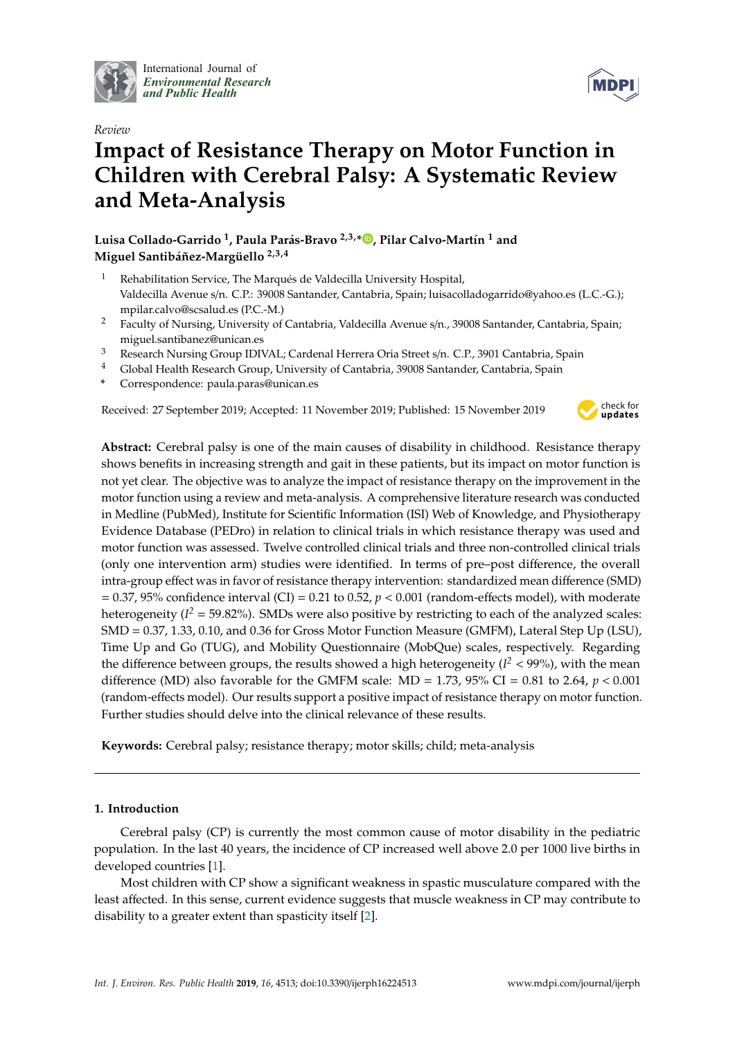

International Journal of *[Environmental Research](http://www.mdpi.com/journal/ijerph) and Public Health*



# *Review* **Impact of Resistance Therapy on Motor Function in Children with Cerebral Palsy: A Systematic Review and Meta-Analysis**

**Luisa Collado-Garrido <sup>1</sup> , Paula Parás-Bravo 2,3,[\\*](https://orcid.org/0000-0001-7745-3006) , Pilar Calvo-Martín <sup>1</sup> and Miguel Santibáñez-Margüello 2,3,4**

- <sup>1</sup> Rehabilitation Service, The Marqués de Valdecilla University Hospital, Valdecilla Avenue s/n. C.P.: 39008 Santander, Cantabria, Spain; luisacolladogarrido@yahoo.es (L.C.-G.); mpilar.calvo@scsalud.es (P.C.-M.)
- <sup>2</sup> Faculty of Nursing, University of Cantabria, Valdecilla Avenue s/n., 39008 Santander, Cantabria, Spain; miguel.santibanez@unican.es
- <sup>3</sup> Research Nursing Group IDIVAL; Cardenal Herrera Oria Street s/n. C.P., 3901 Cantabria, Spain
- <sup>4</sup> Global Health Research Group, University of Cantabria, 39008 Santander, Cantabria, Spain
- **\*** Correspondence: paula.paras@unican.es

Received: 27 September 2019; Accepted: 11 November 2019; Published: 15 November 2019



**Abstract:** Cerebral palsy is one of the main causes of disability in childhood. Resistance therapy shows benefits in increasing strength and gait in these patients, but its impact on motor function is not yet clear. The objective was to analyze the impact of resistance therapy on the improvement in the motor function using a review and meta-analysis. A comprehensive literature research was conducted in Medline (PubMed), Institute for Scientific Information (ISI) Web of Knowledge, and Physiotherapy Evidence Database (PEDro) in relation to clinical trials in which resistance therapy was used and motor function was assessed. Twelve controlled clinical trials and three non-controlled clinical trials (only one intervention arm) studies were identified. In terms of pre–post difference, the overall intra-group effect was in favor of resistance therapy intervention: standardized mean difference (SMD) = 0.37, 95% confidence interval (CI) = 0.21 to 0.52, *p* < 0.001 (random-effects model), with moderate heterogeneity ( $I^2$  = 59.82%). SMDs were also positive by restricting to each of the analyzed scales: SMD = 0.37, 1.33, 0.10, and 0.36 for Gross Motor Function Measure (GMFM), Lateral Step Up (LSU), Time Up and Go (TUG), and Mobility Questionnaire (MobQue) scales, respectively. Regarding the difference between groups, the results showed a high heterogeneity ( $I^2$  < 99%), with the mean difference (MD) also favorable for the GMFM scale:  $MD = 1.73$ , 95% CI = 0.81 to 2.64,  $p < 0.001$ (random-effects model). Our results support a positive impact of resistance therapy on motor function. Further studies should delve into the clinical relevance of these results.

**Keywords:** Cerebral palsy; resistance therapy; motor skills; child; meta-analysis

# **1. Introduction**

Cerebral palsy (CP) is currently the most common cause of motor disability in the pediatric population. In the last 40 years, the incidence of CP increased well above 2.0 per 1000 live births in developed countries [\[1\]](#page-18-0).

Most children with CP show a significant weakness in spastic musculature compared with the least affected. In this sense, current evidence suggests that muscle weakness in CP may contribute to disability to a greater extent than spasticity itself [\[2\]](#page-18-1).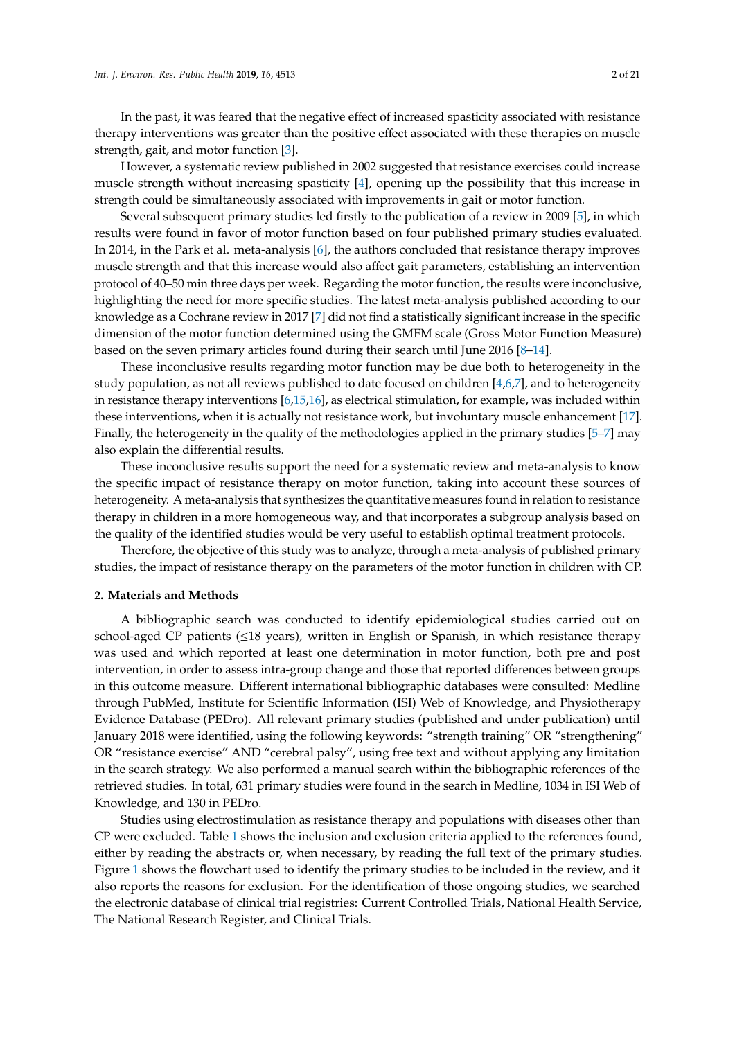In the past, it was feared that the negative effect of increased spasticity associated with resistance therapy interventions was greater than the positive effect associated with these therapies on muscle strength, gait, and motor function [\[3\]](#page-18-2).

However, a systematic review published in 2002 suggested that resistance exercises could increase muscle strength without increasing spasticity [\[4\]](#page-18-3), opening up the possibility that this increase in strength could be simultaneously associated with improvements in gait or motor function.

Several subsequent primary studies led firstly to the publication of a review in 2009 [\[5\]](#page-18-4), in which results were found in favor of motor function based on four published primary studies evaluated. In 2014, in the Park et al. meta-analysis [\[6\]](#page-18-5), the authors concluded that resistance therapy improves muscle strength and that this increase would also affect gait parameters, establishing an intervention protocol of 40–50 min three days per week. Regarding the motor function, the results were inconclusive, highlighting the need for more specific studies. The latest meta-analysis published according to our knowledge as a Cochrane review in 2017 [\[7\]](#page-18-6) did not find a statistically significant increase in the specific dimension of the motor function determined using the GMFM scale (Gross Motor Function Measure) based on the seven primary articles found during their search until June 2016 [\[8–](#page-18-7)[14\]](#page-18-8).

These inconclusive results regarding motor function may be due both to heterogeneity in the study population, as not all reviews published to date focused on children [\[4,](#page-18-3)[6](#page-18-5)[,7\]](#page-18-6), and to heterogeneity in resistance therapy interventions  $[6,15,16]$  $[6,15,16]$  $[6,15,16]$ , as electrical stimulation, for example, was included within these interventions, when it is actually not resistance work, but involuntary muscle enhancement [\[17\]](#page-18-11). Finally, the heterogeneity in the quality of the methodologies applied in the primary studies [\[5–](#page-18-4)[7\]](#page-18-6) may also explain the differential results.

These inconclusive results support the need for a systematic review and meta-analysis to know the specific impact of resistance therapy on motor function, taking into account these sources of heterogeneity. A meta-analysis that synthesizes the quantitative measures found in relation to resistance therapy in children in a more homogeneous way, and that incorporates a subgroup analysis based on the quality of the identified studies would be very useful to establish optimal treatment protocols.

Therefore, the objective of this study was to analyze, through a meta-analysis of published primary studies, the impact of resistance therapy on the parameters of the motor function in children with CP.

### **2. Materials and Methods**

A bibliographic search was conducted to identify epidemiological studies carried out on school-aged CP patients  $(\leq 18$  years), written in English or Spanish, in which resistance therapy was used and which reported at least one determination in motor function, both pre and post intervention, in order to assess intra-group change and those that reported differences between groups in this outcome measure. Different international bibliographic databases were consulted: Medline through PubMed, Institute for Scientific Information (ISI) Web of Knowledge, and Physiotherapy Evidence Database (PEDro). All relevant primary studies (published and under publication) until January 2018 were identified, using the following keywords: "strength training" OR "strengthening" OR "resistance exercise" AND "cerebral palsy", using free text and without applying any limitation in the search strategy. We also performed a manual search within the bibliographic references of the retrieved studies. In total, 631 primary studies were found in the search in Medline, 1034 in ISI Web of Knowledge, and 130 in PEDro.

Studies using electrostimulation as resistance therapy and populations with diseases other than CP were excluded. Table [1](#page-2-0) shows the inclusion and exclusion criteria applied to the references found, either by reading the abstracts or, when necessary, by reading the full text of the primary studies. Figure [1](#page-2-1) shows the flowchart used to identify the primary studies to be included in the review, and it also reports the reasons for exclusion. For the identification of those ongoing studies, we searched the electronic database of clinical trial registries: Current Controlled Trials, National Health Service, The National Research Register, and Clinical Trials.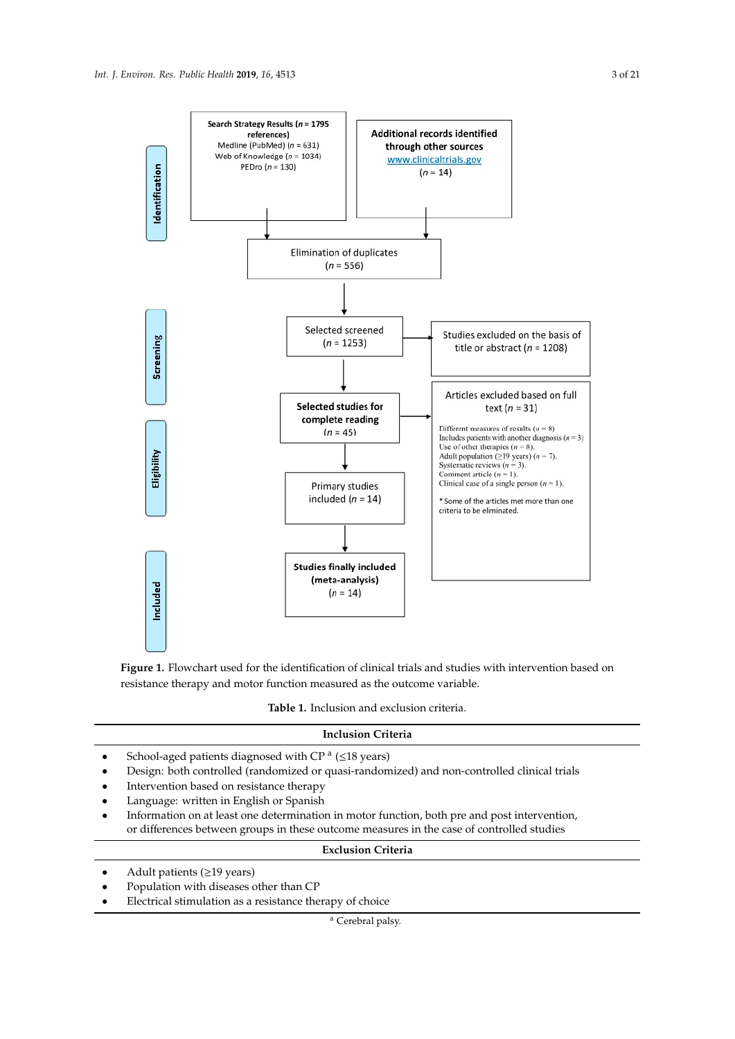<span id="page-2-1"></span>

<span id="page-2-0"></span>**Figure 1.** Flowchart used for the identification of clinical trials and studies with intervention based on resistance therapy and motor function measured as the outcome variable.

**Table 1.** Inclusion and exclusion criteria.

| <b>Inclusion Criteria</b> |  |
|---------------------------|--|
|                           |  |

- School-aged patients diagnosed with CP<sup>a</sup> ( $\leq$ 18 years)
- Design: both controlled (randomized or quasi-randomized) and non-controlled clinical trials
- Intervention based on resistance therapy **Figure 2.1**
- Language: written in English or Spanish
- Information on at least one determination in motor function, both pre and post intervention, or differences between groups in these outcome measures in the case of controlled studies

# **Exclusion Criteria**

- **•** Adult patients (≥19 years)
	- Population with diseases other than CP
	- Electrical stimulation as a resistance therapy of choice

<sup>a</sup> Cerebral palsy.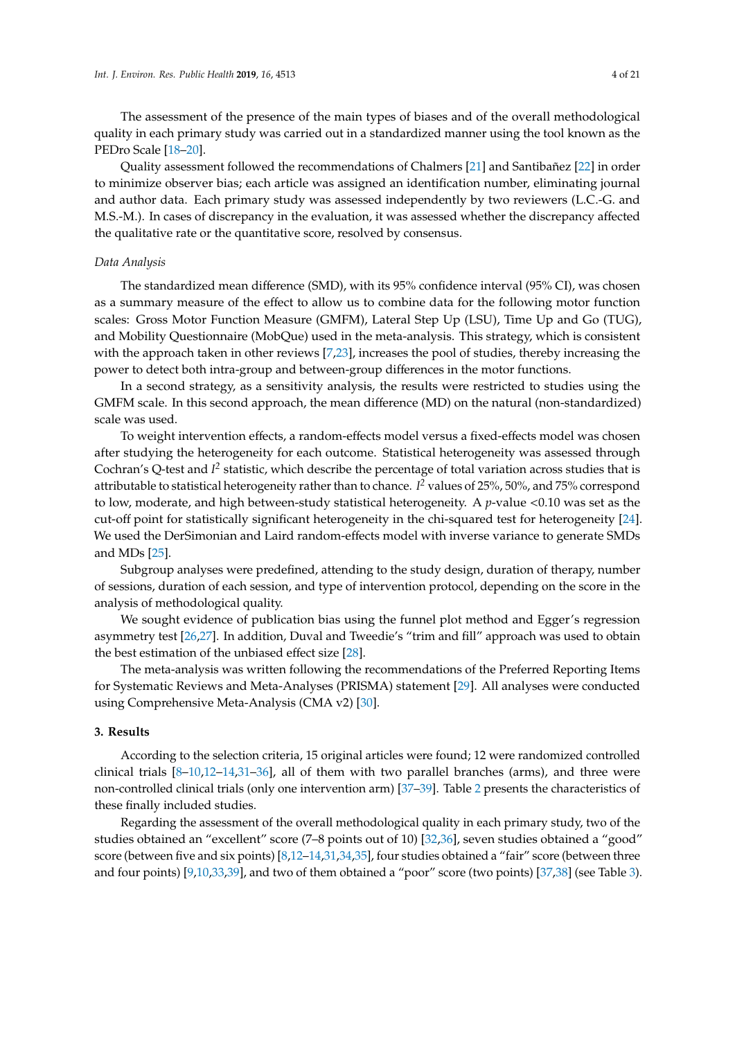The assessment of the presence of the main types of biases and of the overall methodological quality in each primary study was carried out in a standardized manner using the tool known as the PEDro Scale [\[18](#page-18-12)[–20\]](#page-19-0).

Quality assessment followed the recommendations of Chalmers [\[21\]](#page-19-1) and Santibañez [\[22\]](#page-19-2) in order to minimize observer bias; each article was assigned an identification number, eliminating journal and author data. Each primary study was assessed independently by two reviewers (L.C.-G. and M.S.-M.). In cases of discrepancy in the evaluation, it was assessed whether the discrepancy affected the qualitative rate or the quantitative score, resolved by consensus.

### *Data Analysis*

The standardized mean difference (SMD), with its 95% confidence interval (95% CI), was chosen as a summary measure of the effect to allow us to combine data for the following motor function scales: Gross Motor Function Measure (GMFM), Lateral Step Up (LSU), Time Up and Go (TUG), and Mobility Questionnaire (MobQue) used in the meta-analysis. This strategy, which is consistent with the approach taken in other reviews [\[7,](#page-18-6)[23\]](#page-19-3), increases the pool of studies, thereby increasing the power to detect both intra-group and between-group differences in the motor functions.

In a second strategy, as a sensitivity analysis, the results were restricted to studies using the GMFM scale. In this second approach, the mean difference (MD) on the natural (non-standardized) scale was used.

To weight intervention effects, a random-effects model versus a fixed-effects model was chosen after studying the heterogeneity for each outcome. Statistical heterogeneity was assessed through Cochran's Q-test and  $I^2$  statistic, which describe the percentage of total variation across studies that is attributable to statistical heterogeneity rather than to chance. *I <sup>2</sup>* values of 25%, 50%, and 75% correspond to low, moderate, and high between-study statistical heterogeneity. A *p*-value <0.10 was set as the cut-off point for statistically significant heterogeneity in the chi-squared test for heterogeneity [\[24\]](#page-19-4). We used the DerSimonian and Laird random-effects model with inverse variance to generate SMDs and MDs [\[25\]](#page-19-5).

Subgroup analyses were predefined, attending to the study design, duration of therapy, number of sessions, duration of each session, and type of intervention protocol, depending on the score in the analysis of methodological quality.

We sought evidence of publication bias using the funnel plot method and Egger's regression asymmetry test [\[26](#page-19-6)[,27\]](#page-19-7). In addition, Duval and Tweedie's "trim and fill" approach was used to obtain the best estimation of the unbiased effect size [\[28\]](#page-19-8).

The meta-analysis was written following the recommendations of the Preferred Reporting Items for Systematic Reviews and Meta-Analyses (PRISMA) statement [\[29\]](#page-19-9). All analyses were conducted using Comprehensive Meta-Analysis (CMA v2) [\[30\]](#page-19-10).

### **3. Results**

According to the selection criteria, 15 original articles were found; 12 were randomized controlled clinical trials  $[8-10,12-14,31-36]$  $[8-10,12-14,31-36]$  $[8-10,12-14,31-36]$  $[8-10,12-14,31-36]$  $[8-10,12-14,31-36]$ , all of them with two parallel branches (arms), and three were non-controlled clinical trials (only one intervention arm) [\[37](#page-19-13)[–39\]](#page-19-14). Table [2](#page-4-0) presents the characteristics of these finally included studies.

Regarding the assessment of the overall methodological quality in each primary study, two of the studies obtained an "excellent" score (7–8 points out of 10) [\[32](#page-19-15)[,36\]](#page-19-12), seven studies obtained a "good" score (between five and six points) [\[8](#page-18-7)[,12](#page-18-14)[–14,](#page-18-8)[31,](#page-19-11)[34](#page-19-16)[,35\]](#page-19-17), four studies obtained a "fair" score (between three and four points) [\[9](#page-18-15)[,10,](#page-18-13)[33,](#page-19-18)[39\]](#page-19-14), and two of them obtained a "poor" score (two points) [\[37,](#page-19-13)[38\]](#page-19-19) (see Table [3\)](#page-9-0).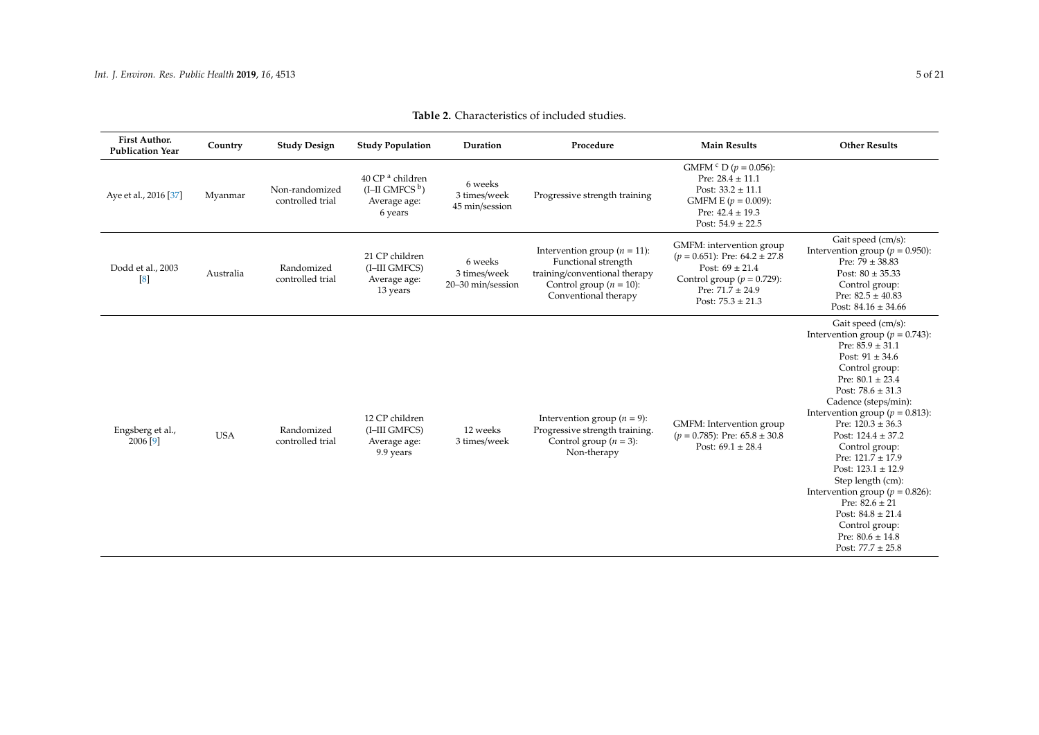<span id="page-4-0"></span>

| <b>First Author.</b><br><b>Publication Year</b> | Country    | <b>Study Design</b>                | <b>Study Population</b>                                                                 | Duration                                     | Procedure                                                                                                                                       | <b>Main Results</b>                                                                                                                                                    | <b>Other Results</b>                                                                                                                                                                                                                                                                                                                                                                                                                                                                                                                             |
|-------------------------------------------------|------------|------------------------------------|-----------------------------------------------------------------------------------------|----------------------------------------------|-------------------------------------------------------------------------------------------------------------------------------------------------|------------------------------------------------------------------------------------------------------------------------------------------------------------------------|--------------------------------------------------------------------------------------------------------------------------------------------------------------------------------------------------------------------------------------------------------------------------------------------------------------------------------------------------------------------------------------------------------------------------------------------------------------------------------------------------------------------------------------------------|
| Aye et al., 2016 [37]                           | Myanmar    | Non-randomized<br>controlled trial | 40 CP <sup>a</sup> children<br>$(I-H$ GMFCS $\overline{b}$ )<br>Average age:<br>6 years | 6 weeks<br>3 times/week<br>45 min/session    | Progressive strength training                                                                                                                   | GMFM $^{\circ}$ D ( $p = 0.056$ ):<br>Pre: $28.4 \pm 11.1$<br>Post: $33.2 \pm 11.1$<br>GMFM E ( $p = 0.009$ ):<br>Pre: $42.4 \pm 19.3$<br>Post: $54.9 \pm 22.5$        |                                                                                                                                                                                                                                                                                                                                                                                                                                                                                                                                                  |
| Dodd et al., 2003<br>[8]                        | Australia  | Randomized<br>controlled trial     | 21 CP children<br>(I-III GMFCS)<br>Average age:<br>13 years                             | 6 weeks<br>3 times/week<br>20-30 min/session | Intervention group ( $n = 11$ ):<br>Functional strength<br>training/conventional therapy<br>Control group ( $n = 10$ ):<br>Conventional therapy | GMFM: intervention group<br>$(p = 0.651)$ : Pre: 64.2 ± 27.8<br>Post: $69 \pm 21.4$<br>Control group ( $p = 0.729$ ):<br>Pre: $71.7 \pm 24.9$<br>Post: $75.3 \pm 21.3$ | Gait speed (cm/s):<br>Intervention group ( $p = 0.950$ ):<br>Pre: $79 \pm 38.83$<br>Post: $80 \pm 35.33$<br>Control group:<br>Pre: $82.5 \pm 40.83$<br>Post: $84.16 \pm 34.66$                                                                                                                                                                                                                                                                                                                                                                   |
| Engsberg et al.,<br>2006 [9]                    | <b>USA</b> | Randomized<br>controlled trial     | 12 CP children<br>(I-III GMFCS)<br>Average age:<br>9.9 years                            | 12 weeks<br>3 times/week                     | Intervention group ( $n = 9$ ):<br>Progressive strength training.<br>Control group ( $n = 3$ ):<br>Non-therapy                                  | GMFM: Intervention group<br>$(p = 0.785)$ : Pre: 65.8 $\pm$ 30.8<br>Post: $69.1 \pm 28.4$                                                                              | Gait speed (cm/s):<br>Intervention group ( $p = 0.743$ ):<br>Pre: $85.9 \pm 31.1$<br>Post: $91 \pm 34.6$<br>Control group:<br>Pre: $80.1 \pm 23.4$<br>Post: $78.6 \pm 31.3$<br>Cadence (steps/min):<br>Intervention group ( $p = 0.813$ ):<br>Pre: $120.3 \pm 36.3$<br>Post: $124.4 \pm 37.2$<br>Control group:<br>Pre: $121.7 \pm 17.9$<br>Post: $123.1 \pm 12.9$<br>Step length (cm):<br>Intervention group ( $p = 0.826$ ):<br>Pre: $82.6 \pm 21$<br>Post: $84.8 \pm 21.4$<br>Control group:<br>Pre: $80.6 \pm 14.8$<br>Post: $77.7 \pm 25.8$ |

# **Table 2.** Characteristics of included studies.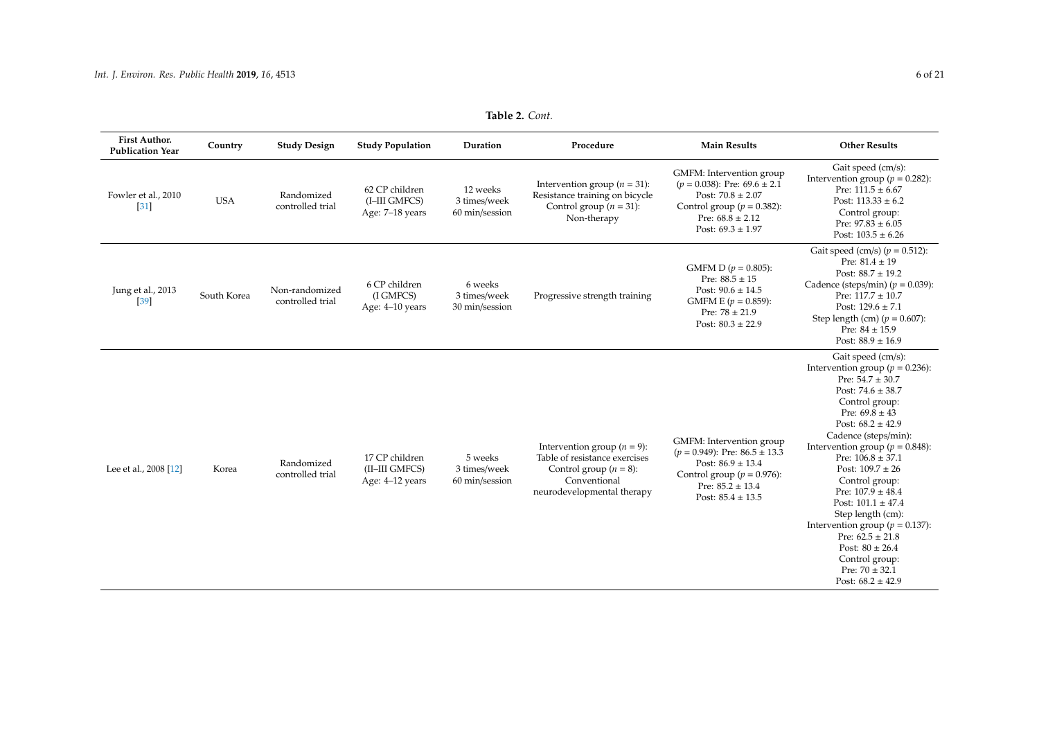| <b>First Author.</b><br><b>Publication Year</b> | Country     | <b>Study Design</b>                | <b>Study Population</b>                             | Duration                                   | Procedure                                                                                                                                    | <b>Main Results</b>                                                                                                                                                      | <b>Other Results</b>                                                                                                                                                                                                                                                                                                                                                                                                                                                                                                                         |
|-------------------------------------------------|-------------|------------------------------------|-----------------------------------------------------|--------------------------------------------|----------------------------------------------------------------------------------------------------------------------------------------------|--------------------------------------------------------------------------------------------------------------------------------------------------------------------------|----------------------------------------------------------------------------------------------------------------------------------------------------------------------------------------------------------------------------------------------------------------------------------------------------------------------------------------------------------------------------------------------------------------------------------------------------------------------------------------------------------------------------------------------|
| Fowler et al., 2010<br>[31]                     | <b>USA</b>  | Randomized<br>controlled trial     | 62 CP children<br>(I-III GMFCS)<br>Age: 7-18 years  | 12 weeks<br>3 times/week<br>60 min/session | Intervention group ( $n = 31$ ):<br>Resistance training on bicycle<br>Control group ( $n = 31$ ):<br>Non-therapy                             | GMFM: Intervention group<br>$(p = 0.038)$ : Pre: 69.6 ± 2.1<br>Post: $70.8 \pm 2.07$<br>Control group ( $p = 0.382$ ):<br>Pre: $68.8 \pm 2.12$<br>Post: $69.3 \pm 1.97$  | Gait speed (cm/s):<br>Intervention group ( $p = 0.282$ ):<br>Pre: $111.5 \pm 6.67$<br>Post: $113.33 \pm 6.2$<br>Control group:<br>Pre: $97.83 \pm 6.05$<br>Post: $103.5 \pm 6.26$                                                                                                                                                                                                                                                                                                                                                            |
| Jung et al., 2013<br>$[39]$                     | South Korea | Non-randomized<br>controlled trial | 6 CP children<br>(I GMFCS)<br>Age: 4-10 years       | 6 weeks<br>3 times/week<br>30 min/session  | Progressive strength training                                                                                                                | GMFM D ( $p = 0.805$ ):<br>Pre: $88.5 \pm 15$<br>Post: $90.6 \pm 14.5$<br>GMFM E ( $p = 0.859$ ):<br>Pre: $78 \pm 21.9$<br>Post: $80.3 \pm 22.9$                         | Gait speed (cm/s) ( $p = 0.512$ ):<br>Pre: $81.4 \pm 19$<br>Post: $88.7 \pm 19.2$<br>Cadence (steps/min) ( $p = 0.039$ ):<br>Pre: $117.7 \pm 10.7$<br>Post: $129.6 \pm 7.1$<br>Step length (cm) $(p = 0.607)$ :<br>Pre: $84 \pm 15.9$<br>Post: $88.9 \pm 16.9$                                                                                                                                                                                                                                                                               |
| Lee et al., 2008 [12]                           | Korea       | Randomized<br>controlled trial     | 17 CP children<br>(II-III GMFCS)<br>Age: 4-12 years | 5 weeks<br>3 times/week<br>60 min/session  | Intervention group ( $n = 9$ ):<br>Table of resistance exercises<br>Control group ( $n = 8$ ):<br>Conventional<br>neurodevelopmental therapy | GMFM: Intervention group<br>$(p = 0.949)$ : Pre: 86.5 ± 13.3<br>Post: $86.9 \pm 13.4$<br>Control group ( $p = 0.976$ ):<br>Pre: $85.2 \pm 13.4$<br>Post: $85.4 \pm 13.5$ | Gait speed (cm/s):<br>Intervention group ( $p = 0.236$ ):<br>Pre: $54.7 \pm 30.7$<br>Post: $74.6 \pm 38.7$<br>Control group:<br>Pre: $69.8 \pm 43$<br>Post: $68.2 \pm 42.9$<br>Cadence (steps/min):<br>Intervention group ( $p = 0.848$ ):<br>Pre: $106.8 \pm 37.1$<br>Post: $109.7 \pm 26$<br>Control group:<br>Pre: $107.9 \pm 48.4$<br>Post: $101.1 \pm 47.4$<br>Step length (cm):<br>Intervention group ( $p = 0.137$ ):<br>Pre: $62.5 \pm 21.8$<br>Post: $80 \pm 26.4$<br>Control group:<br>Pre: $70 \pm 32.1$<br>Post: $68.2 \pm 42.9$ |

# **Table 2.** *Cont.*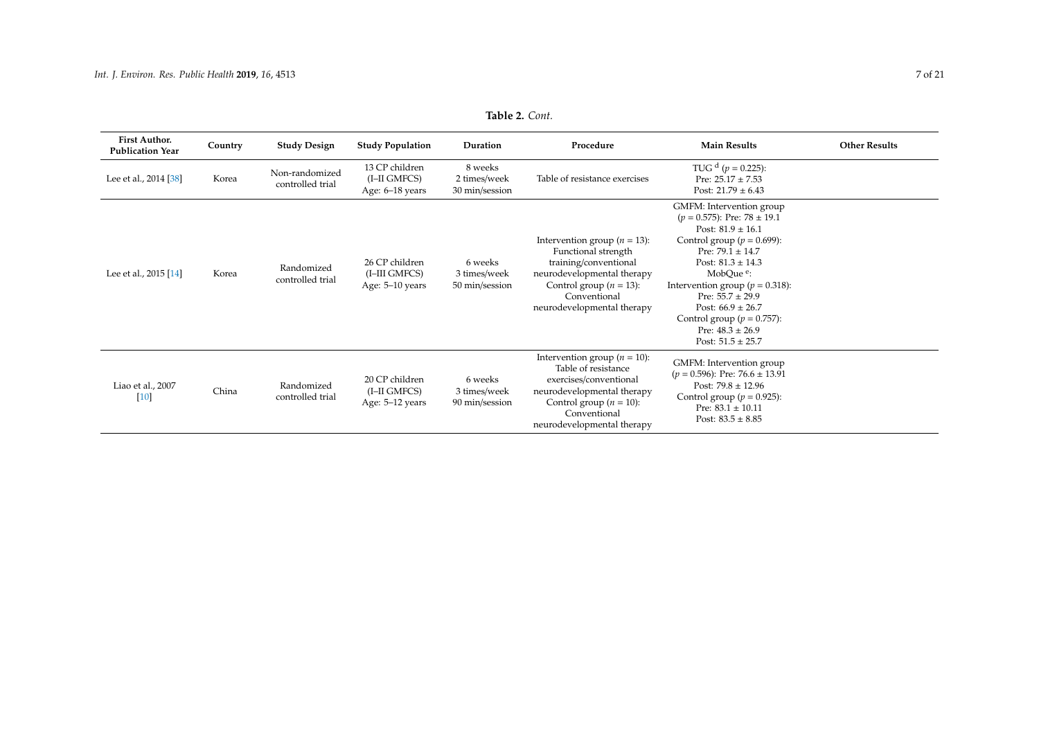| <b>First Author.</b><br><b>Publication Year</b> | Country | <b>Study Design</b>                | <b>Study Population</b>                            | Duration                                  | Procedure                                                                                                                                                                                    | <b>Main Results</b>                                                                                                                                                                                                                                                                                                                                                        | <b>Other Results</b> |
|-------------------------------------------------|---------|------------------------------------|----------------------------------------------------|-------------------------------------------|----------------------------------------------------------------------------------------------------------------------------------------------------------------------------------------------|----------------------------------------------------------------------------------------------------------------------------------------------------------------------------------------------------------------------------------------------------------------------------------------------------------------------------------------------------------------------------|----------------------|
| Lee et al., 2014 [38]                           | Korea   | Non-randomized<br>controlled trial | 13 CP children<br>(I-II GMFCS)<br>Age: 6-18 years  | 8 weeks<br>2 times/week<br>30 min/session | Table of resistance exercises                                                                                                                                                                | TUG $d$ ( $p = 0.225$ ):<br>Pre: $25.17 + 7.53$<br>Post: $21.79 \pm 6.43$                                                                                                                                                                                                                                                                                                  |                      |
| Lee et al., 2015 [14]                           | Korea   | Randomized<br>controlled trial     | 26 CP children<br>(I-III GMFCS)<br>Age: 5-10 years | 6 weeks<br>3 times/week<br>50 min/session | Intervention group ( $n = 13$ ):<br>Functional strength<br>training/conventional<br>neurodevelopmental therapy<br>Control group ( $n = 13$ ):<br>Conventional<br>neurodevelopmental therapy  | GMFM: Intervention group<br>$(p = 0.575)$ : Pre: 78 ± 19.1<br>Post: $81.9 \pm 16.1$<br>Control group ( $p = 0.699$ ):<br>Pre: $79.1 \pm 14.7$<br>Post: $81.3 \pm 14.3$<br>MobQue <sup>e</sup> :<br>Intervention group ( $p = 0.318$ ):<br>Pre: $55.7 \pm 29.9$<br>Post: $66.9 \pm 26.7$<br>Control group ( $p = 0.757$ ):<br>Pre: $48.3 \pm 26.9$<br>Post: $51.5 \pm 25.7$ |                      |
| Liao et al., 2007<br>$[10]$                     | China   | Randomized<br>controlled trial     | 20 CP children<br>(I-II GMFCS)<br>Age: 5-12 years  | 6 weeks<br>3 times/week<br>90 min/session | Intervention group ( $n = 10$ ):<br>Table of resistance<br>exercises/conventional<br>neurodevelopmental therapy<br>Control group ( $n = 10$ ):<br>Conventional<br>neurodevelopmental therapy | GMFM: Intervention group<br>$(p = 0.596)$ : Pre: 76.6 ± 13.91<br>Post: $79.8 \pm 12.96$<br>Control group ( $p = 0.925$ ):<br>Pre: $83.1 \pm 10.11$<br>Post: $83.5 \pm 8.85$                                                                                                                                                                                                |                      |

**Table 2.** *Cont.*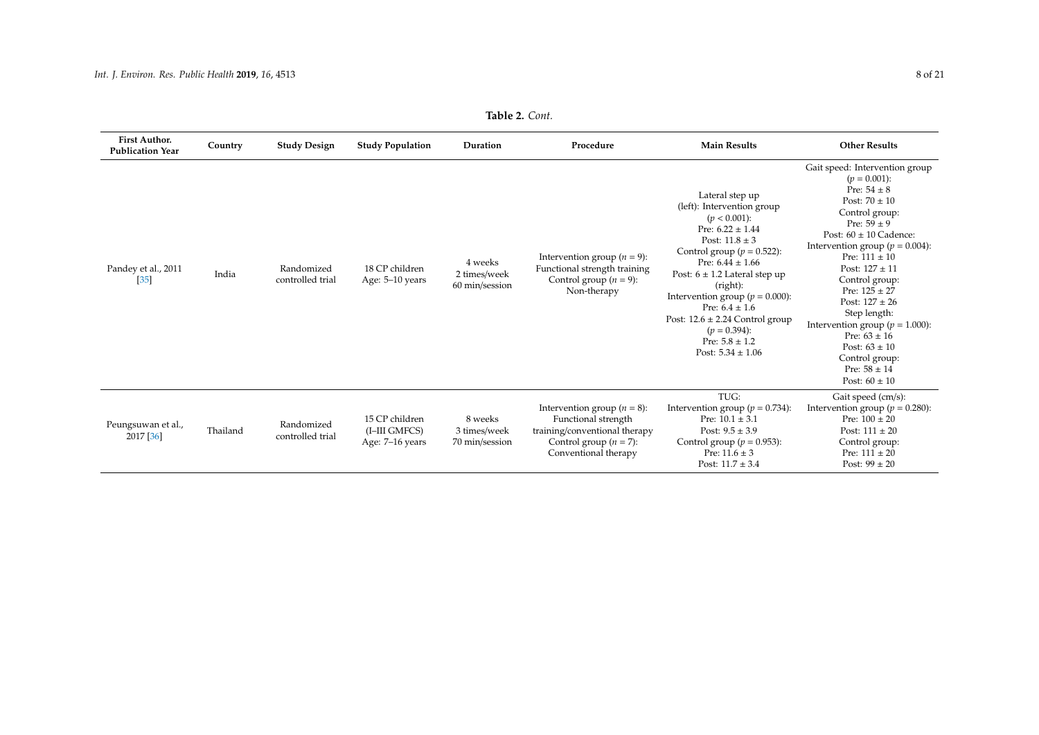| First Author.<br><b>Publication Year</b> | Country  | <b>Study Design</b>            | <b>Study Population</b>                            | Duration                                  | Procedure                                                                                                                                     | <b>Main Results</b>                                                                                                                                                                                                                                                                                                                                                                             | <b>Other Results</b>                                                                                                                                                                                                                                                                                                                                                                                                                                                 |
|------------------------------------------|----------|--------------------------------|----------------------------------------------------|-------------------------------------------|-----------------------------------------------------------------------------------------------------------------------------------------------|-------------------------------------------------------------------------------------------------------------------------------------------------------------------------------------------------------------------------------------------------------------------------------------------------------------------------------------------------------------------------------------------------|----------------------------------------------------------------------------------------------------------------------------------------------------------------------------------------------------------------------------------------------------------------------------------------------------------------------------------------------------------------------------------------------------------------------------------------------------------------------|
| Pandey et al., 2011<br>$[35]$            | India    | Randomized<br>controlled trial | 18 CP children<br>Age: 5-10 years                  | 4 weeks<br>2 times/week<br>60 min/session | Intervention group ( $n = 9$ ):<br>Functional strength training<br>Control group ( $n = 9$ ):<br>Non-therapy                                  | Lateral step up<br>(left): Intervention group<br>$(p < 0.001)$ :<br>Pre: $6.22 \pm 1.44$<br>Post: $11.8 \pm 3$<br>Control group ( $p = 0.522$ ):<br>Pre: $6.44 \pm 1.66$<br>Post: $6 \pm 1.2$ Lateral step up<br>(right):<br>Intervention group ( $p = 0.000$ ):<br>Pre: $6.4 \pm 1.6$<br>Post: $12.6 \pm 2.24$ Control group<br>$(p = 0.394)$ :<br>Pre: $5.8 \pm 1.2$<br>Post: $5.34 \pm 1.06$ | Gait speed: Intervention group<br>$(p = 0.001)$ :<br>Pre: $54 \pm 8$<br>Post: $70 \pm 10$<br>Control group:<br>Pre: $59 \pm 9$<br>Post: $60 \pm 10$ Cadence:<br>Intervention group ( $p = 0.004$ ):<br>Pre: $111 \pm 10$<br>Post: $127 \pm 11$<br>Control group:<br>Pre: $125 \pm 27$<br>Post: $127 \pm 26$<br>Step length:<br>Intervention group ( $p = 1.000$ ):<br>Pre: $63 + 16$<br>Post: $63 \pm 10$<br>Control group:<br>Pre: $58 \pm 14$<br>Post: $60 \pm 10$ |
| Peungsuwan et al.,<br>2017 [36]          | Thailand | Randomized<br>controlled trial | 15 CP children<br>(I-III GMFCS)<br>Age: 7-16 years | 8 weeks<br>3 times/week<br>70 min/session | Intervention group ( $n = 8$ ):<br>Functional strength<br>training/conventional therapy<br>Control group ( $n = 7$ ):<br>Conventional therapy | TUG:<br>Intervention group ( $p = 0.734$ ):<br>Pre: $10.1 \pm 3.1$<br>Post: $9.5 \pm 3.9$<br>Control group ( $p = 0.953$ ):<br>Pre: $11.6 \pm 3$<br>Post: $11.7 \pm 3.4$                                                                                                                                                                                                                        | Gait speed (cm/s):<br>Intervention group ( $p = 0.280$ ):<br>Pre: $100 \pm 20$<br>Post: $111 \pm 20$<br>Control group:<br>Pre: $111 \pm 20$<br>Post: $99 \pm 20$                                                                                                                                                                                                                                                                                                     |

# **Table 2.** *Cont.*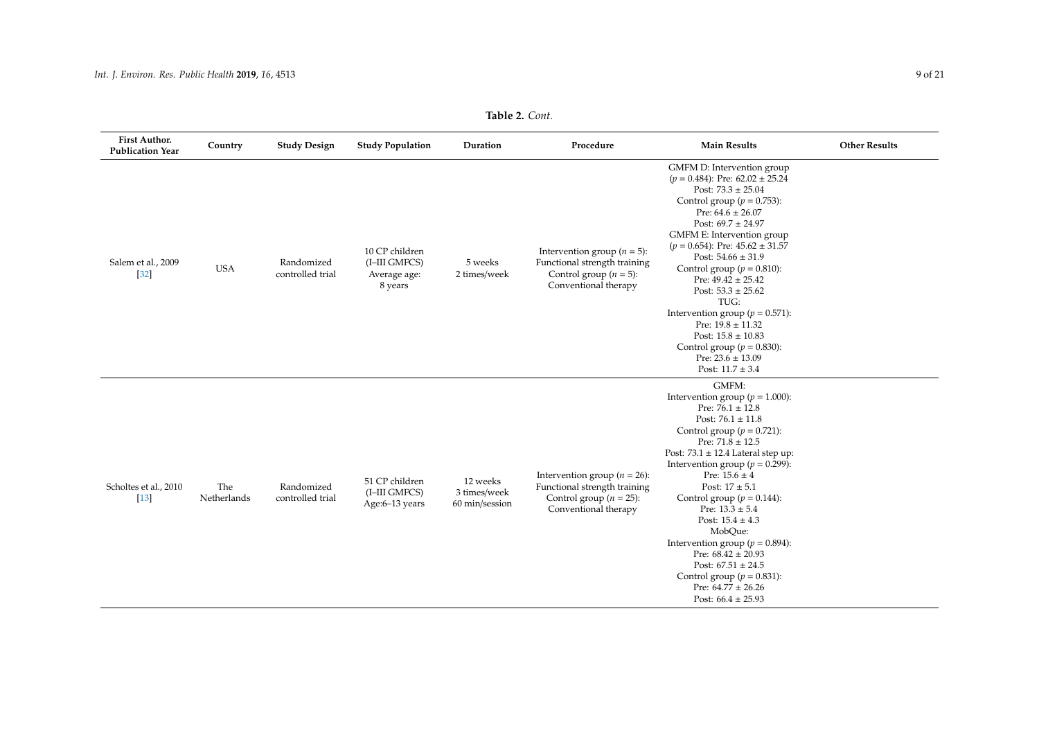| <b>First Author.</b><br><b>Publication Year</b> | Country            | <b>Study Design</b>            | <b>Study Population</b>                                    | Duration                 | Procedure                                                                                                             | <b>Main Results</b>                                                                                                                                                                                                                                                                                                                                                                                                                                                                                                                                          | <b>Other Results</b> |
|-------------------------------------------------|--------------------|--------------------------------|------------------------------------------------------------|--------------------------|-----------------------------------------------------------------------------------------------------------------------|--------------------------------------------------------------------------------------------------------------------------------------------------------------------------------------------------------------------------------------------------------------------------------------------------------------------------------------------------------------------------------------------------------------------------------------------------------------------------------------------------------------------------------------------------------------|----------------------|
| Salem et al., 2009<br>$[32]$                    | <b>USA</b>         | Randomized<br>controlled trial | 10 CP children<br>(I-III GMFCS)<br>Average age:<br>8 years | 5 weeks<br>2 times/week  | Intervention group ( $n = 5$ ):<br>Functional strength training<br>Control group ( $n = 5$ ):<br>Conventional therapy | GMFM D: Intervention group<br>$(p = 0.484)$ : Pre: 62.02 ± 25.24<br>Post: $73.3 \pm 25.04$<br>Control group ( $p = 0.753$ ):<br>Pre: $64.6 \pm 26.07$<br>Post: $69.7 \pm 24.97$<br>GMFM E: Intervention group<br>$(p = 0.654)$ : Pre: $45.62 \pm 31.57$<br>Post: $54.66 \pm 31.9$<br>Control group ( $p = 0.810$ ):<br>Pre: $49.42 \pm 25.42$<br>Post: $53.3 \pm 25.62$<br>TUG:<br>Intervention group ( $p = 0.571$ ):<br>Pre: $19.8 \pm 11.32$<br>Post: $15.8 \pm 10.83$<br>Control group ( $p = 0.830$ ):<br>Pre: $23.6 \pm 13.09$<br>Post: $11.7 \pm 3.4$ |                      |
| Scholtes et al., 2010                           | The<br>Netherlands | Randomized<br>controlled trial | 51 CP children<br>(I-III GMFCS)                            | 12 weeks<br>3 times/week | Intervention group ( $n = 26$ ):<br>Functional strength training                                                      | GMFM:<br>Intervention group ( $p = 1.000$ ):<br>Pre: $76.1 \pm 12.8$<br>Post: $76.1 \pm 11.8$<br>Control group ( $p = 0.721$ ):<br>Pre: $71.8 \pm 12.5$<br>Post: $73.1 \pm 12.4$ Lateral step up:<br>Intervention group ( $p = 0.299$ ):<br>Pre: $15.6 \pm 4$<br>Post: $17 \pm 5.1$                                                                                                                                                                                                                                                                          |                      |
| $[13]$                                          |                    |                                | Age:6-13 years                                             | 60 min/session           | Control group ( $n = 25$ ):<br>Conventional therapy                                                                   | Control group ( $p = 0.144$ ):<br>Pre: $13.3 \pm 5.4$<br>Post: $15.4 \pm 4.3$                                                                                                                                                                                                                                                                                                                                                                                                                                                                                |                      |

MobQue: Intervention group ( $p = 0.894$ ): Pre:  $68.42 \pm 20.93$ Post:  $67.51 \pm 24.5$ Control group ( $p = 0.831$ ): Pre:  $64.77 \pm 26.26$ Post:  $66.4 \pm 25.93$ 

**Table 2.** *Cont.*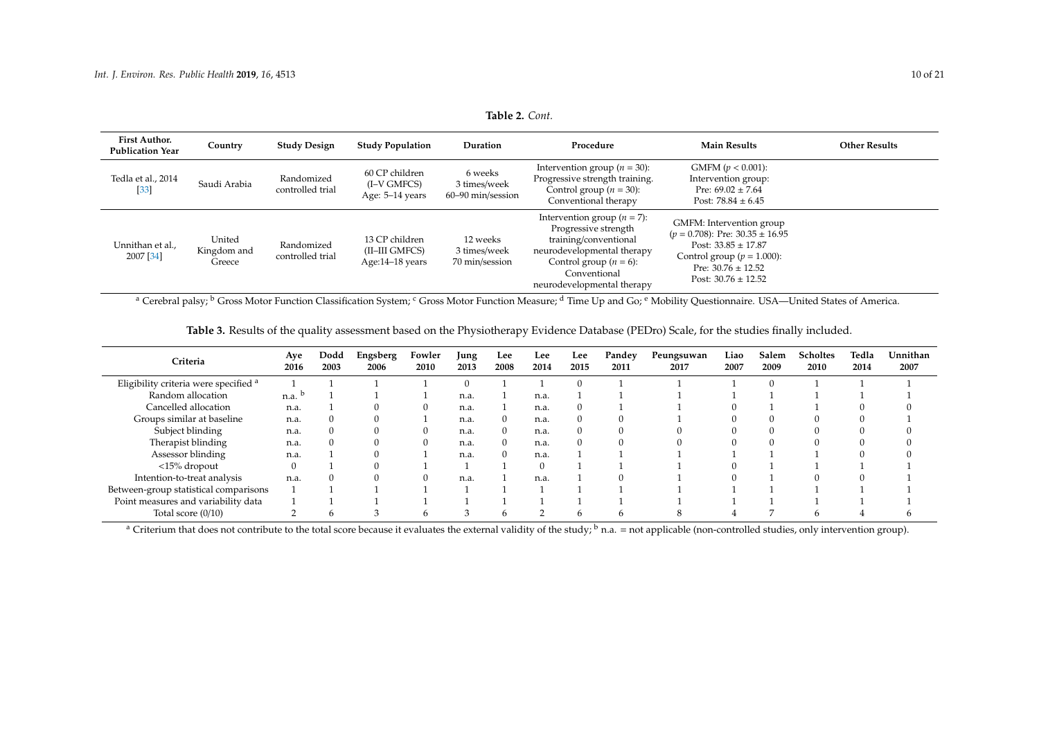| First Author.<br><b>Publication Year</b> | Country                         | <b>Study Design</b>            | <b>Study Population</b>                             | Duration                                                                                                                                                                                  | Procedure                                                                                                                                                                        | <b>Main Results</b>                                                                            | <b>Other Results</b> |
|------------------------------------------|---------------------------------|--------------------------------|-----------------------------------------------------|-------------------------------------------------------------------------------------------------------------------------------------------------------------------------------------------|----------------------------------------------------------------------------------------------------------------------------------------------------------------------------------|------------------------------------------------------------------------------------------------|----------------------|
| Tedla et al., 2014<br>$[33]$             | Saudi Arabia                    | Randomized<br>controlled trial | 60 CP children<br>(I-V GMFCS)<br>Age: 5-14 years    | 6 weeks<br>3 times/week<br>60-90 min/session                                                                                                                                              | Intervention group ( $n = 30$ ):<br>Progressive strength training.<br>Control group ( $n = 30$ ):<br>Conventional therapy                                                        | GMFM $(p < 0.001)$ :<br>Intervention group:<br>Pre: $69.02 \pm 7.64$<br>Post: $78.84 \pm 6.45$ |                      |
| Unnithan et al.,<br>2007 [34]            | United<br>Kingdom and<br>Greece | Randomized<br>controlled trial | 13 CP children<br>(II-III GMFCS)<br>Age:14-18 years | Intervention group ( $n = 7$ ):<br>Progressive strength<br>training/conventional<br>neurodevelopmental therapy<br>Control group $(n = 6)$ :<br>Conventional<br>neurodevelopmental therapy | GMFM: Intervention group<br>$(p = 0.708)$ : Pre: 30.35 ± 16.95<br>Post: $33.85 \pm 17.87$<br>Control group ( $p = 1.000$ ):<br>Pre: $30.76 \pm 12.52$<br>Post: $30.76 \pm 12.52$ |                                                                                                |                      |

| Criteria                                         | Ave<br>2016 | Dodd<br>2003 | Engsberg<br>2006 | Fowler<br>2010 | Jung<br>2013 | Lee<br>2008 | Lee<br>2014 | Lee<br>2015 | Pandey<br>2011 | Peungsuwan<br>2017 | Liao<br>2007 | Salem<br>2009 | <b>Scholtes</b><br>2010 | Tedla<br>2014 | Unnithan<br>2007 |
|--------------------------------------------------|-------------|--------------|------------------|----------------|--------------|-------------|-------------|-------------|----------------|--------------------|--------------|---------------|-------------------------|---------------|------------------|
| Eligibility criteria were specified <sup>a</sup> |             |              |                  |                |              |             |             |             |                |                    |              |               |                         |               |                  |
| Random allocation                                | n.a.        |              |                  |                | n.a.         |             | n.a.        |             |                |                    |              |               |                         |               |                  |
| Cancelled allocation                             | n.a.        |              |                  |                | n.a.         |             | n.a.        |             |                |                    |              |               |                         |               |                  |
| Groups similar at baseline                       | n.a.        | 0            |                  |                | n.a.         |             | n.a.        |             |                |                    |              |               |                         |               |                  |
| Subject blinding                                 | n.a.        | 0            |                  |                | n.a.         | $\cup$      | n.a.        |             |                |                    |              |               |                         |               |                  |
| Therapist blinding                               | n.a.        | $\Omega$     |                  |                | n.a.         |             | n.a.        |             |                |                    |              |               |                         |               |                  |
| Assessor blinding                                | n.a.        |              |                  |                | n.a.         |             | n.a.        |             |                |                    |              |               |                         |               |                  |
| $<$ 15% dropout                                  |             |              |                  |                |              |             |             |             |                |                    |              |               |                         |               |                  |
| Intention-to-treat analysis                      | n.a.        | 0            |                  |                | n.a.         |             | n.a.        |             | $\Omega$       |                    |              |               |                         |               |                  |
| Between-group statistical comparisons            |             |              |                  |                |              |             |             |             |                |                    |              |               |                         |               |                  |
| Point measures and variability data              |             |              |                  |                |              |             |             |             |                |                    |              |               |                         |               |                  |
| Total score $(0/10)$                             |             | n            |                  |                |              |             |             |             | h              |                    |              |               |                         |               |                  |

**Table 3.** Results of the quality assessment based on the Physiotherapy Evidence Database (PEDro) Scale, for the studies finally included.

<span id="page-9-0"></span><sup>a</sup> Criterium that does not contribute to the total score because it evaluates the external validity of the study;  $<sup>b</sup>$  n.a. = not applicable (non-controlled studies, only intervention group).</sup>

**Table 2.** *Cont.*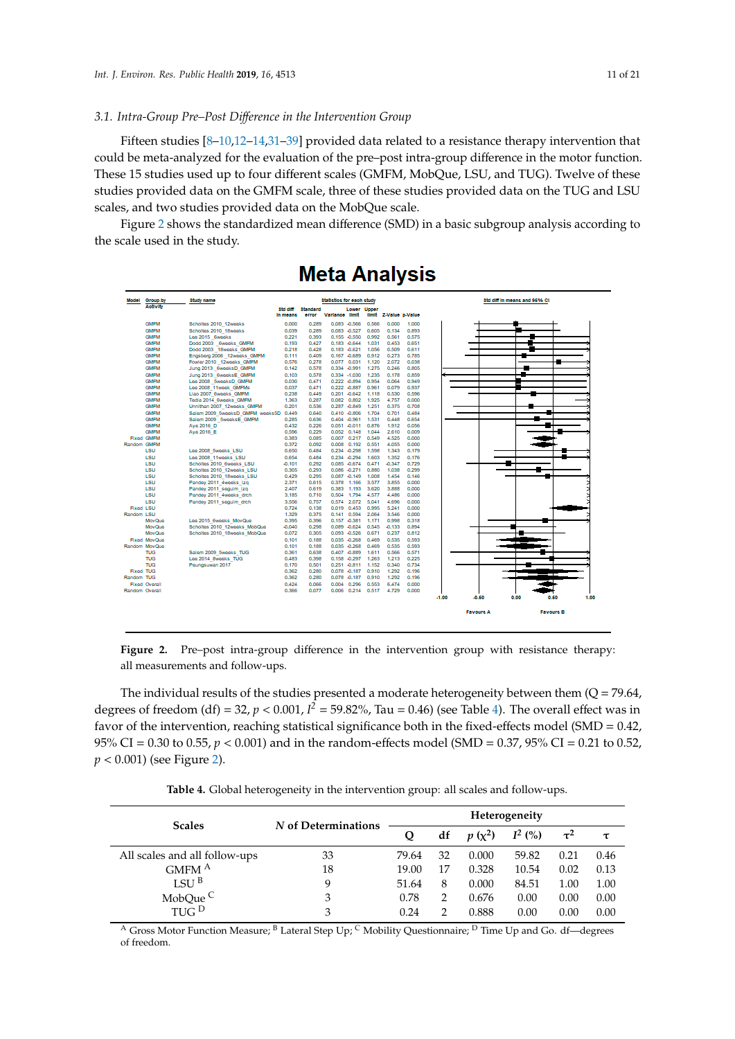# *3.1. Intra-Group Pre–Post Di*ff*erence in the Intervention Group 3.1. Intra-Group Pre–Post Difference in the Intervention Group*

Fifteen studies [\[8](#page-18-7)[–10,](#page-18-13)[12–](#page-18-14)[14,](#page-18-8)[31](#page-19-11)[–39\]](#page-19-14) provided data related to a resistance therapy intervention that Fifteen studies [8–10,12–14,31–39] provided data related to a resistance therapy intervention that could be meta-analyzed for the evaluation of the pre–post intra-group difference in the motor function. could be meta-analyzed for the evaluation of the pre–post intra-group difference in the motor These 15 studies used up to four different scales (GMFM, MobQue, LSU, and TUG). Twelve of these studies provided data on the GMFM scale, three of these studies provided data on the TUG and LSU scales, and two studies provided data on the MobQue scale.

<span id="page-10-0"></span>Figure 2 shows the standardized mean difference (SMD) in a basic subgroup analysis according to Figu[re](#page-10-0) 2 shows the standardized mean difference (SMD) in a basic subgroup analysis according the scale used in the study.

| Model            | Group by             | <b>Study name</b>               |                               |                   | <b>Statistics for each study</b> |                             |             |                 |       |
|------------------|----------------------|---------------------------------|-------------------------------|-------------------|----------------------------------|-----------------------------|-------------|-----------------|-------|
|                  | <b>Aothvity</b>      |                                 | <b>Shit cliff</b><br>in moans | Standard<br>error | Variance                         | Lower Upper<br><b>Henit</b> | <b>Umit</b> | Z-Value p-Value |       |
|                  | <b>GMFM</b>          | Scholtes 2010 12weeks           | 0.000                         | 0.289             | 0.083                            | $-0.566$                    | 0.566       | 0.000           | 1,000 |
|                  | <b>GMFM</b>          | Scholtes 2010 18weeks           | 0.039                         | 0.289             | 0.083                            | $-0.527$                    | 0.605       | 0.134           | 0.893 |
|                  | <b>GMFM</b>          | Lee 2015 6weeks                 | 0.221                         | 0.393             | 0.155                            | $-0.550$                    | 0.992       | 0.561           | 0.575 |
|                  | <b>GMFM</b>          | Dodd 2003 6weeks GMFM           | 0.193                         | 0.427             | 0.183                            | $-0.644$                    | 1,031       | 0.453           | 0.651 |
|                  | <b>GMFM</b>          | Dodd 2003 18weeks GMFM          | 0.218                         | 0.428             | 0.183                            | $-0.621$                    | 1.056       | 0.509           | 0.611 |
|                  | <b>GMFM</b>          | Engsberg 2006 12weeks GMFM      | 0.111                         | 0.409             | 0.167                            | $-0.689$                    | 0.912       | 0.273           | 0.785 |
|                  | <b>GMFM</b>          | Fowler 2010 12weeks GMFM        | 0.576                         | 0.278             | 0.077                            | 0.031                       | 1.120       | 2.072           | 0.038 |
|                  | <b>GMFM</b>          | Jung 2013 6weeksD GMFM          | 0.142                         | 0.578             | 0.334                            | $-0.991$                    | 1.275       | 0.246           | 0.805 |
|                  | <b>GMFM</b>          | Jung 2013 6weeksE GMFM          | 0.103                         | 0.578             | 0.334                            | $-1.030$                    | 1.235       | 0.178           | 0.859 |
|                  | <b>GMFM</b>          | Lee 2008 SweeksD GMFM           | 0.030                         | 0.471             | 0.222                            | $-0.894$                    | 0.954       | 0.064           | 0.949 |
|                  | <b>GMFM</b>          | Lee 2008 11week GMFMs           | 0.037                         | 0.471             | 0.222                            | $-0.887$                    | 0.961       | 0.079           | 0.937 |
|                  | <b>GMFM</b>          | Liao 2007 6weeks GMFM           | 0.238                         | 0.449             | 0.201                            | $-0.642$                    | 1,118       | 0.530           | 0.596 |
|                  | <b>GMFM</b>          | Tedia 2014 6weeks GMFM          | 1.363                         | 0.287             | 0.082                            | 0.802                       | 1.925       | 4.757           | 0.000 |
|                  | <b>GMFM</b>          | Unnithan 2007 12weeks GMFM      | 0.201                         | 0.536             | 0.287                            | $-0.849$                    | 1,251       | 0.375           | 0.708 |
|                  | <b>GMFM</b>          | Salem 2009 5weeksD GMFM weeks5D | 0.449                         | 0.640             | 0.410                            | -0.806                      | 1,704       | 0.701           | 0.484 |
|                  | <b>GMFM</b>          | Salem 2009 5weeksE GMFM         | 0.285                         | 0.636             | 0.404                            | $-0.961$                    | 1.531       | 0.448           | 0.654 |
|                  | <b>GMFM</b>          | Ave 2016 D                      | 0.432                         | 0.226             | 0.051                            | $-0.011$                    | 0.876       | 1.912           | 0.056 |
|                  | <b>GMFM</b>          | Aye 2016 E                      | 0.596                         | 0.229             | 0.052                            | 0.148                       | 1.044       | 2,610           | 0.009 |
|                  | <b>Fixed GMFM</b>    |                                 | 0.383                         | 0.085             | 0.007                            | 0.217                       | 0.549       | 4.525           | 0.000 |
|                  | Random GMFM          |                                 | 0.372                         | 0.092             | 0.008                            | 0.192                       | 0.551       | 4.055           | 0.000 |
|                  | LSU                  | Lee 2008 5weeks LSU             | 0.650                         | 0.484             | 0.234                            | $-0.298$                    | 1.598       | 1.343           | 0.179 |
|                  | LSU                  | Lee 2008 11weeks LSU            | 0.654                         | 0.484             | 0.234                            | $-0.294$                    | 1,603       | 1.352           | 0.176 |
|                  | LSU                  | Scholtes 2010 6weeks LSU        | $-0.101$                      | 0.292             | 0.085                            | $-0.674$                    | 0.471       | $-0.347$        | 0.729 |
|                  | LSU                  | Scholtes 2010 12weeks LSU       | 0.305                         | 0.293             | 0.086                            | $-0.271$                    | 0.880       | 1.038           | 0.299 |
|                  | LSU                  | Scholtes 2010 18weeks LSU       | 0.429                         | 0.295             | 0.087                            | $-0.149$                    | 1,008       | 1,454           | 0.146 |
|                  | LSU                  | Pandey 2011 4weeks izo          | 2.371                         | 0.615             | 0.378                            | 1.166                       | 3.577       | 3.855           | 0.000 |
|                  | LSU                  | Pandey 2011 seguim izg          | 2.407                         | 0.619             | 0.383                            | 1.193                       | 3.620       | 3,888           | 0.000 |
|                  | LSU                  | Pandey 2011 4weeks drch         | 3.185                         | 0.710             | 0.504                            | 1.794                       | 4.577       | 4,486           | 0.000 |
|                  | LSU                  | Pandey 2011 seguim drch         | 3.556                         | 0.757             | 0.574                            | 2.072                       | 5.041       | 4,696           | 0.000 |
| <b>Fixed LSU</b> |                      |                                 | 0.724                         | 0.138             | 0.019                            | 0.453                       | 0.995       | 5.241           | 0.000 |
| Random LSU       |                      |                                 | 1.329                         | 0.375             | 0.141                            | 0.594                       | 2.064       | 3.546           | 0.000 |
|                  | <b>MovOue</b>        | Lee 2015 6weeks MovQue          | 0.395                         | 0.396             | 0.157                            | $-0.381$                    | 1.171       | 0.998           | 0.318 |
|                  | <b>MovQue</b>        | Scholtes 2010 12weeks MobQue    | $-0.040$                      | 0.298             | 0.089                            | $-0.624$                    | 0.545       | $-0.133$        | 0.894 |
|                  | MovOue               | Scholtes 2010 18weeks MobQue    | 0.072                         | 0.305             | 0.093                            | $-0.526$                    | 0.671       | 0.237           | 0.812 |
|                  | Fixed MovQue         |                                 | 0.101                         | 0.188             | 0.035                            | $-0.268$                    | 0.469       | 0.535           | 0.593 |
|                  | Random MovQue        |                                 | 0.101                         | 0.188             | 0.035                            | $-0.268$                    | 0.469       | 0.535           | 0.593 |
|                  | <b>TUG</b>           | Salem 2009 5weeks TUG           | 0.361                         | 0.638             | 0.407                            | $-0.889$                    | 1.611       | 0.566           | 0.571 |
|                  | <b>TUG</b>           | Lee 2014 8weeks TUG             | 0.483                         | 0.398             | 0.158                            | $-0.297$                    | 1.263       | 1.213           | 0.225 |
|                  | <b>TUG</b>           | Peungsuwan 2017                 | 0.170                         | 0.501             | 0.251                            | $-0.811$                    | 1.152       | 0.340           | 0.734 |
| <b>Fixed TUG</b> |                      |                                 | 0.362                         | 0.280             | 0.078                            | $-0.187$                    | 0.910       | 1,292           | 0.196 |
| Random TUG       |                      |                                 | 0.362                         | 0.280             | 0.078                            | $-0.187$                    | 0.910       | 1.292           | 0.196 |
|                  | <b>Fixed Overall</b> |                                 | 0.424                         | 0.066             | 0.004                            | 0.296                       | 0.553       | 6.474           | 0.000 |
|                  | Random Overall       |                                 | 0.366                         | 0.077             | 0.006                            | 0.214                       | 0.517       | 4.729           | 0.000 |
|                  |                      |                                 |                               |                   |                                  |                             |             |                 |       |
|                  |                      |                                 |                               |                   |                                  |                             |             |                 |       |

# **Meta Analysis**

**Figure 2.** Pre–post intra-group difference in the intervention group with resistance therapy: measurements and follow-ups. all measurements and follow-ups.

The individual results of the studies presented a moderate heterogeneity between them  $(Q = 79.64,$ degrees of freedom (df) = 32,  $p < 0.001$ ,  $I^2 = 59.82\%$ , Tau = 0.46) (see Table [4\)](#page-10-1). The overall effect was in favor of the intervention, reaching statistical significance both in the fixed-effects model (SMD = 0.42, favor of the intervention, reaching statistical significance both in the fixed-effects model (SMD = 0.42, 95% CI = 0.30 to 0.55, *p* < 0.001) and in the random-effects model (SMD = 0.37, 95% CI = 0.21 to 0.52, 95% CI = 0.30 to 0.55, *p* < 0.001) and in the random-effects model (SMD = 0.37, 95% CI = 0.21 to 0.52, *p* < 0.001) (see Figure 2). *p* < 0.001) (see Figure [2\)](#page-10-0).

**Table 4.** Global heterogeneity in the intervention group: all scales and follow-ups. **Table 4.** Global heterogeneity in the intervention group: all scales and follow-ups.

<span id="page-10-1"></span>

| <b>Scales</b>                 | N of Determinations | Heterogeneity |    |          |           |          |      |  |  |
|-------------------------------|---------------------|---------------|----|----------|-----------|----------|------|--|--|
|                               |                     | Q             | df | $p(x^2)$ | $I^2$ (%) | $\tau^2$ | τ    |  |  |
| All scales and all follow-ups | 33                  | 79.64         | 32 | 0.000    | 59.82     | 0.21     | 0.46 |  |  |
| GMFM <sup>A</sup>             | 18                  | 19.00         | 17 | 0.328    | 10.54     | 0.02     | 0.13 |  |  |
| $L$ SU $B$                    | q                   | 51.64         | 8  | 0.000    | 84.51     | 1.00     | 1.00 |  |  |
| MobQue <sup>C</sup>           | 3                   | 0.78          | 2  | 0.676    | 0.00      | 0.00     | 0.00 |  |  |
| TUG <sup>D</sup>              | З                   | 0.24          |    | 0.888    | 0.00      | 0.00     | 0.00 |  |  |

<sup>A</sup> Gross Motor Function Measure; <sup>B</sup> Lateral Step Up; <sup>C</sup> Mobility Questionnaire; <sup>D</sup> Time Up and Go. df—degrees of freedom.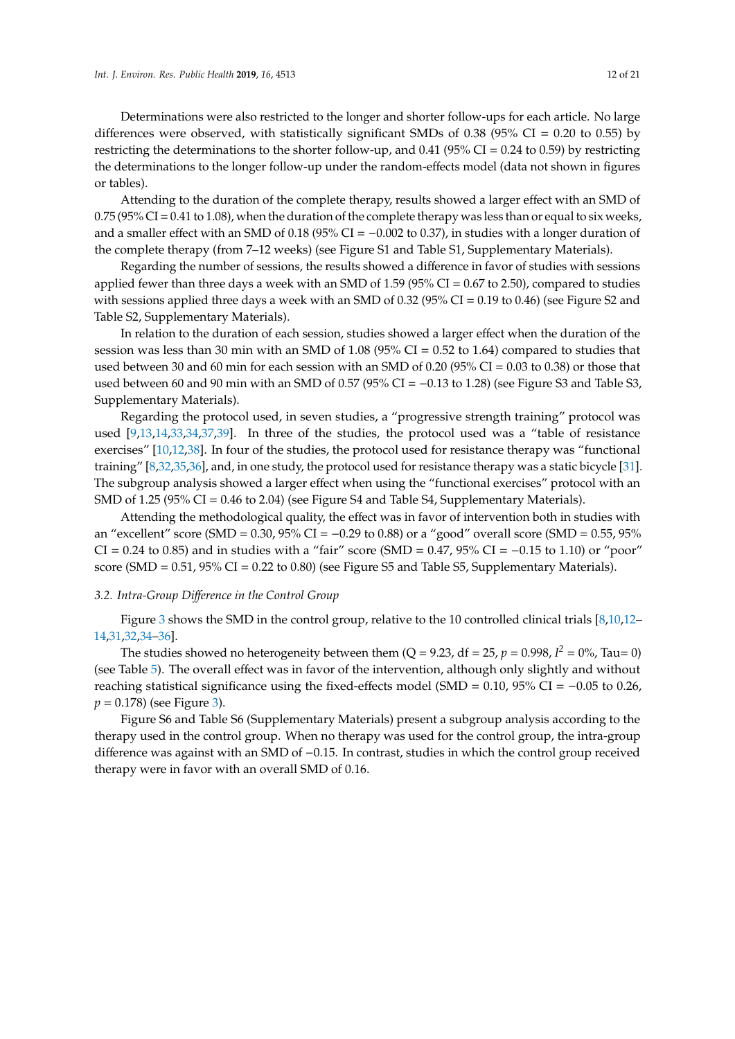Determinations were also restricted to the longer and shorter follow-ups for each article. No large differences were observed, with statistically significant SMDs of 0.38 (95% CI = 0.20 to 0.55) by restricting the determinations to the shorter follow-up, and 0.41 (95% CI = 0.24 to 0.59) by restricting the determinations to the longer follow-up under the random-effects model (data not shown in figures or tables).

Attending to the duration of the complete therapy, results showed a larger effect with an SMD of  $0.75$  (95% CI = 0.41 to 1.08), when the duration of the complete therapy was less than or equal to six weeks, and a smaller effect with an SMD of  $0.18$  (95% CI =  $-0.002$  to 0.37), in studies with a longer duration of the complete therapy (from 7–12 weeks) (see Figure S1 and Table S1, Supplementary Materials).

Regarding the number of sessions, the results showed a difference in favor of studies with sessions applied fewer than three days a week with an SMD of 1.59 (95% CI = 0.67 to 2.50), compared to studies with sessions applied three days a week with an SMD of 0.32 (95% CI = 0.19 to 0.46) (see Figure S2 and Table S2, Supplementary Materials).

In relation to the duration of each session, studies showed a larger effect when the duration of the session was less than 30 min with an SMD of 1.08 (95% CI = 0.52 to 1.64) compared to studies that used between 30 and 60 min for each session with an SMD of 0.20 (95% CI = 0.03 to 0.38) or those that used between 60 and 90 min with an SMD of 0.57 (95% CI =  $-0.13$  to 1.28) (see Figure S3 and Table S3, Supplementary Materials).

Regarding the protocol used, in seven studies, a "progressive strength training" protocol was used [\[9](#page-18-15)[,13](#page-18-22)[,14](#page-18-8)[,33](#page-19-18)[,34](#page-19-16)[,37](#page-19-13)[,39\]](#page-19-14). In three of the studies, the protocol used was a "table of resistance exercises" [\[10](#page-18-13)[,12](#page-18-14)[,38\]](#page-19-19). In four of the studies, the protocol used for resistance therapy was "functional training" [\[8,](#page-18-7)[32](#page-19-15)[,35](#page-19-17)[,36\]](#page-19-12), and, in one study, the protocol used for resistance therapy was a static bicycle [\[31\]](#page-19-11). The subgroup analysis showed a larger effect when using the "functional exercises" protocol with an SMD of 1.25 (95% CI = 0.46 to 2.04) (see Figure S4 and Table S4, Supplementary Materials).

Attending the methodological quality, the effect was in favor of intervention both in studies with an "excellent" score (SMD = 0.30, 95% CI = −0.29 to 0.88) or a "good" overall score (SMD = 0.55, 95% CI = 0.24 to 0.85) and in studies with a "fair" score (SMD = 0.47, 95% CI = -0.15 to 1.10) or "poor" score (SMD = 0.51, 95% CI = 0.22 to 0.80) (see Figure S5 and Table S5, Supplementary Materials).

### *3.2. Intra-Group Di*ff*erence in the Control Group*

Figure [3](#page-12-0) shows the SMD in the control group, relative to the 10 controlled clinical trials [\[8](#page-18-7)[,10,](#page-18-13)[12–](#page-18-14) [14](#page-18-8)[,31](#page-19-11)[,32](#page-19-15)[,34](#page-19-16)[–36\]](#page-19-12).

The studies showed no heterogeneity between them (Q = 9.23, df = 25,  $p = 0.998$ ,  $I^2 = 0\%$ , Tau= 0) (see Table [5\)](#page-12-1). The overall effect was in favor of the intervention, although only slightly and without reaching statistical significance using the fixed-effects model (SMD =  $0.10$ , 95% CI =  $-0.05$  to 0.26,  $p = 0.178$ ) (see Figure [3\)](#page-12-0).

Figure S6 and Table S6 (Supplementary Materials) present a subgroup analysis according to the therapy used in the control group. When no therapy was used for the control group, the intra-group difference was against with an SMD of −0.15. In contrast, studies in which the control group received therapy were in favor with an overall SMD of 0.16.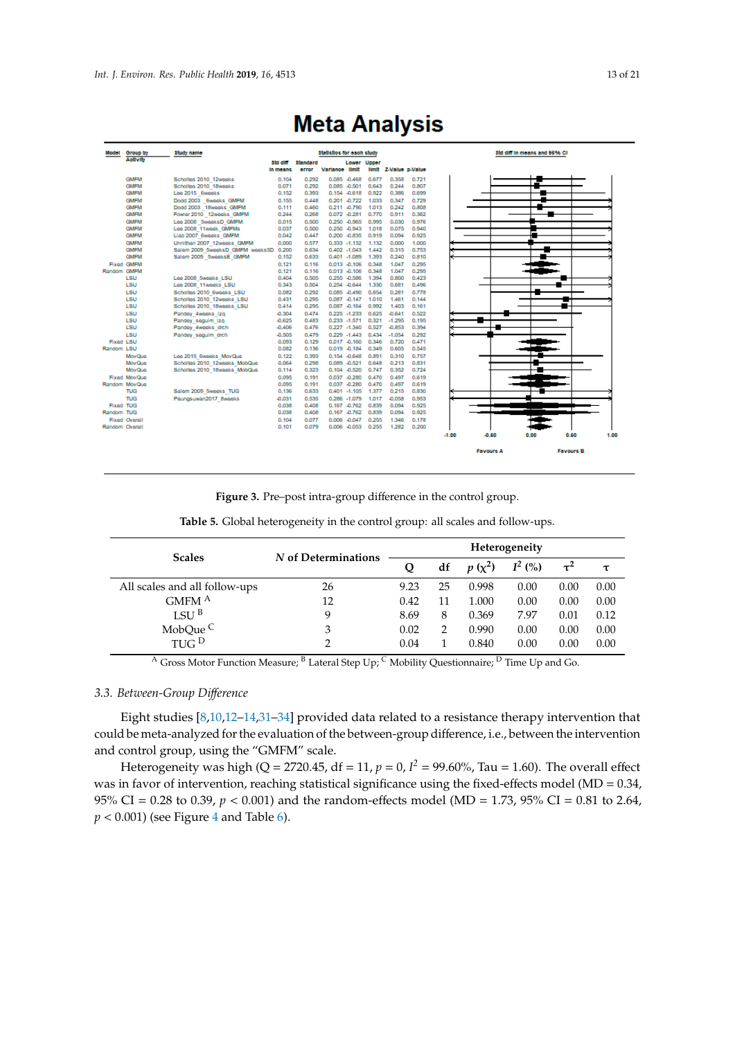<span id="page-12-0"></span>

| Modell             | Group by            | Study name                      |          |                 | <b>Statistics for each study</b> |                 |       |                 |       | 3td diff in means and 95% CI |                  |      |                  |
|--------------------|---------------------|---------------------------------|----------|-----------------|----------------------------------|-----------------|-------|-----------------|-------|------------------------------|------------------|------|------------------|
|                    | Aothvity            |                                 | std diff | <b>Standard</b> |                                  | Lower Upper     |       |                 |       |                              |                  |      |                  |
|                    |                     |                                 | In moans | error           | Variance limit                   |                 | limit | Z-Value p-Value |       |                              |                  |      |                  |
|                    | <b>GMFM</b>         | Scholtes 2010 12weeks           | 0.104    | 0.292           |                                  | 0.085 -0.468    | 0.677 | 0.358           | 0.721 |                              |                  |      |                  |
|                    | <b>GMFM</b>         | Scholtes 2010 18weeks           | 0.071    | 0.292           | 0.085                            | $-0.501$        | 0.643 | 0.244           | 0.807 |                              |                  |      |                  |
|                    | <b>GMFM</b>         | Lee 2015 6weeks                 | 0.152    | 0.393           |                                  | 0.154 -0.618    | 0.922 | 0.386           | 0.699 |                              |                  |      |                  |
|                    | <b>GMFM</b>         | Dodd 2003 6weeks GMFM           | 0.155    | 0.448           | 0.201                            | $-0.722$        | 1.033 | 0.347           | 0.729 |                              |                  |      |                  |
|                    | <b>GMFM</b>         | Dodd 2003 18weeks GMFM          | 0.111    | 0.460           |                                  | 0.211 -0.790    | 1.013 | 0.242           | 0.808 |                              |                  |      |                  |
|                    | <b>GMFM</b>         | Fowler 2010 12weeks GMFM        | 0.244    | 0.268           |                                  | 0.072 -0.281    | 0.770 | 0.911           | 0.362 |                              |                  |      |                  |
|                    | <b>GMFM</b>         | Lee 2008 SweeksD GMFM           | 0.015    | 0.500           |                                  | 0.250 -0.965    | 0.995 | 0.030           | 0.976 |                              |                  |      |                  |
|                    | <b>GMFM</b>         | Lee 2008 11week GMFMs           | 0.037    | 0.500           | 0.250                            | $-0.943$        | 1.018 | 0.075           | 0.940 |                              |                  |      |                  |
|                    | <b>GMFM</b>         | Liao 2007 6weeks GMFM           | 0.042    | 0.447           |                                  | 0.200 -0.835    | 0.919 | 0.094           | 0.925 |                              |                  |      |                  |
|                    | <b>GMFM</b>         | Unnithan 2007 12weeks GMFM      | 0.000    | 0.577           |                                  | 0.333 -1.132    | 1.132 | 0.000           | 1,000 |                              |                  |      |                  |
|                    | <b>GMFM</b>         | Salem 2009 SweeksD GMFM weeks5D | 0.200    | 0.634           | 0.402                            | $-1.043$        | 1,442 | 0.315           | 0.753 |                              |                  |      |                  |
|                    | <b>GMFM</b>         | Salem 2009 5weeksE GMFM         | 0.152    | 0.633           |                                  | 0.401 -1.089    | 1,393 | 0.240           | 0.810 |                              |                  |      |                  |
|                    | <b>Fixed GMFM</b>   |                                 | 0.121    | 0.116           |                                  | 0.013 -0.106    | 0.348 | 1.047           | 0.295 |                              |                  |      |                  |
| <b>Random GMFM</b> |                     |                                 | 0.121    | 0.116           |                                  | 0.013 -0.106    | 0.348 | 1.047           | 0.295 |                              |                  |      |                  |
|                    | LSU                 | Lee 2008 Sweeks LSU             | 0.404    | 0.505           |                                  | 0.255 -0.586    | 1.394 | 0.800           | 0.423 |                              |                  |      |                  |
|                    | LSU                 | Lee 2008 11weeks LSU            | 0.343    | 0.504           |                                  | 0.254 -0.644    | 1.330 | 0.681           | 0.496 |                              |                  |      |                  |
|                    | LSU                 | Scholtes 2010 6weeks LSU        | 0.082    | 0.292           | 0.085                            | $-0.490$        | 0.654 | 0.281           | 0.778 |                              |                  |      |                  |
|                    | LSU                 | Scholtes 2010 12weeks LSU       | 0.431    | 0.295           |                                  | 0.087 -0.147    | 1,010 | 1,461           | 0.144 |                              |                  |      |                  |
|                    | LSU                 | Scholtes 2010 18weeks LSU       | 0.414    | 0.295           |                                  | 0.087 -0.164    | 0.992 | 1,403           | 0.161 |                              |                  |      |                  |
|                    | LSU                 | Pandey 4weeks izo               | $-0.304$ | 0.474           |                                  | 0.225 -1.233    | 0.625 | -0.641          | 0.522 |                              |                  |      |                  |
|                    | LSU                 | Pandey seguim izo               | -0.625   | 0.483           |                                  | 0.233 -1.571    | 0.321 | $-1.295$        | 0.195 |                              |                  |      |                  |
|                    | LSU                 | Pandey 4weeks drch              | -0.406   | 0.476           |                                  | $0.227 - 1.340$ | 0.527 | $-0.853$        | 0.394 |                              |                  |      |                  |
|                    | LSU                 | Pandey seguim drch              | -0.505   | 0.479           | 0.229                            | $-1.443$        | 0.434 | $-1.054$        | 0.292 |                              |                  |      |                  |
| <b>Fixed LSU</b>   |                     |                                 | 0.093    | 0.129           |                                  | 0.017 -0.160    | 0.346 | 0.720           | 0.471 |                              |                  |      |                  |
| Random LSU         |                     |                                 | 0.082    | 0.136           |                                  | 0.019 -0.184    | 0.349 | 0.605           | 0.545 |                              |                  |      |                  |
|                    | <b>MovOue</b>       | Lee 2015 6weeks MovQue          | 0.122    | 0.393           |                                  | 0.154 -0.648    | 0.891 | 0.310           | 0.757 |                              |                  |      |                  |
|                    | MovQue              | Scholtes 2010 12weeks MobOue    | 0.064    | 0.298           | 0.089                            | $-0.521$        | 0.648 | 0.213           | 0.831 |                              |                  |      |                  |
|                    | MovQue              | Scholtes 2010 18weeks MobOue    | 0.114    | 0.323           | 0.104                            | $-0.520$        | 0.747 | 0.352           | 0.724 |                              |                  |      |                  |
|                    | <b>Fixed MovQue</b> |                                 | 0.095    | 0.191           | 0.037                            | $-0.280$        | 0.470 | 0.497           | 0.619 |                              |                  |      |                  |
|                    | Random MovOue       |                                 | 0.095    | 0.191           |                                  | 0.037 -0.280    | 0.470 | 0.497           | 0.619 |                              |                  |      |                  |
|                    | <b>TUG</b>          | Salem 2009 5weeks TUG           | 0.136    | 0.633           | 0.401                            | $-1.105$        | 1,377 | 0.215           | 0.830 |                              |                  |      |                  |
|                    | <b>TUG</b>          | Peungsuwan2017 8weeks           | -0.031   | 0.535           | 0.286                            | $-1.079$        | 1.017 | -0.058          | 0.953 |                              |                  |      |                  |
| <b>Fixed TUG</b>   |                     |                                 | 0.038    | 0.408           |                                  | 0.167 -0.762    | 0.839 | 0.094           | 0.925 |                              |                  |      |                  |
| Random TUG         |                     |                                 | 0.038    | 0.408           |                                  | 0.167 -0.762    | 0.839 | 0.094           | 0.925 |                              |                  |      |                  |
|                    | Fixed Overall       |                                 | 0.104    | 0.077           | 0.006                            | $-0.047$        | 0.255 | 1,346           | 0.178 |                              |                  |      |                  |
| Random Overall     |                     |                                 | 0.101    | 0.079           |                                  | 0.006 -0.053    | 0.255 | 1,282           | 0.200 |                              |                  |      |                  |
|                    |                     |                                 |          |                 |                                  |                 |       |                 |       | $-1.00$                      | -0.60            | 0.00 | 0.60             |
|                    |                     |                                 |          |                 |                                  |                 |       |                 |       |                              |                  |      |                  |
|                    |                     |                                 |          |                 |                                  |                 |       |                 |       |                              | <b>Favours A</b> |      | <b>Favours B</b> |

# **Meta Analysis**

**Figure 3.** Pre–post intra-group difference in the control group. **Figure 3.** Pre–post intra-group difference in the control group.

| <b>Scales</b>                 |                     | <b>Heterogeneity</b> |    |          |           |          |      |  |  |
|-------------------------------|---------------------|----------------------|----|----------|-----------|----------|------|--|--|
|                               | N of Determinations | Q                    | df | $p(x^2)$ | $I^2$ (%) | $\tau^2$ | τ    |  |  |
| All scales and all follow-ups | 26                  | 9.23                 | 25 | 0.998    | 0.00      | 0.00     | 0.00 |  |  |
| GMFM <sup>A</sup>             | 12                  | 0.42                 | 11 | 1.000    | 0.00      | 0.00     | 0.00 |  |  |
| LSU <sup>B</sup>              | 9                   | 8.69                 | 8  | 0.369    | 7.97      | 0.01     | 0.12 |  |  |
| MobQue <sup>C</sup>           | 3                   | 0.02                 | 2  | 0.990    | 0.00      | 0.00     | 0.00 |  |  |
| TUG <sup>D</sup>              |                     | 0.04                 |    | 0.840    | 0.00      | 0.00     | 0.00 |  |  |

<span id="page-12-1"></span>**Table 5.** Global heterogeneity in the control group: all scales and follow-ups.

 $A$  Gross Motor Function Measure;  $B$  Lateral Step Up; C Mobility Questionnaire;  $D$  Time Up and Go.

### *3.3. Between-Group Di*ff*erence*

Eight studies [\[8](#page-18-7)[,10](#page-18-13)[,12](#page-18-14)[–14,](#page-18-8)31–34] provided data related to a resistance therapy intervention that **(%)** τ**<sup>2</sup>** <sup>τ</sup> could be meta-analyzed for the evaluation of the between-group difference, i.e., between the intervention and control group, using the "GMFM" scale.

follow-group, using the "GMTM" scale.<br>Heterogeneity was high (Q = 2720.45, df = 11,  $p = 0$ ,  $I^2 = 99.60\%$ , Tau = 1.60). The overall effect was in favor of intervention, reaching statistical significance using the fixed-effects model (MD =  $0.34$ , 95% CI = 0.28 to 0.39,  $p < 0.001$ ) and the random-effects model (MD = 1.73, 95% CI = 0.81 to 2.64,  $p < 0.001$ ) (see Figure 4 and Table [6\)](#page-13-1).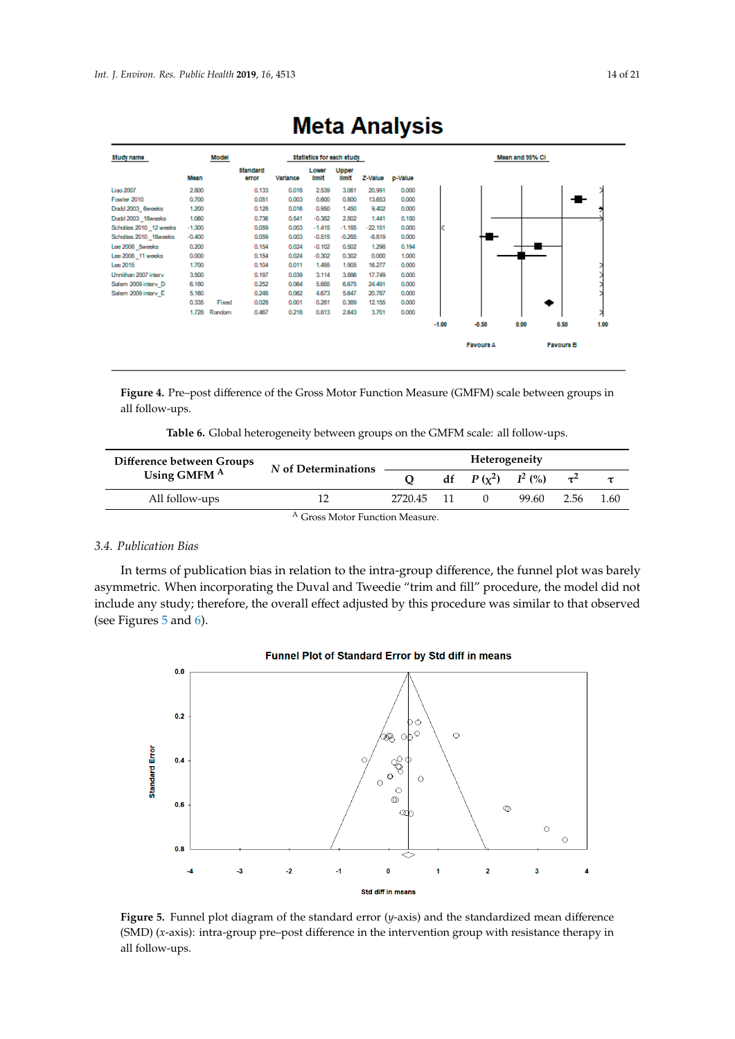<span id="page-13-0"></span>

| Study name             |          | Model        |                          | Statistics for each study |                       |                       |                 |       | Mean and 95% CI |                  |      |                  |      |
|------------------------|----------|--------------|--------------------------|---------------------------|-----------------------|-----------------------|-----------------|-------|-----------------|------------------|------|------------------|------|
|                        | Mean     |              | <b>Standard</b><br>error | Variance                  | Lower<br><b>IImit</b> | Upper<br><b>Ilmit</b> | Z-Value p-Value |       |                 |                  |      |                  |      |
| Liao 2007              | 2.800    |              | 0.133                    | 0.018                     | 2.539                 | 3.061                 | 20,991          | 0.000 |                 |                  |      |                  |      |
| Fowler 2010            | 0.700    |              | 0.051                    | 0.003                     | 0.600                 | 0.800                 | 13,653          | 0.000 |                 |                  |      |                  |      |
| Dodd 2003 Bweeks       | 1.200    |              | 0.128                    | 0.016                     | 0.950                 | 1,450                 | 9,402           | 0.000 |                 |                  |      |                  |      |
| Dodd 2003 18weeks      | 1.060    |              | 0.736                    | 0.541                     | $-0.382$              | 2.502                 | 1,441           | 0.150 |                 |                  |      |                  |      |
| Scholtes 2010 12 weeks | $-1.300$ |              | 0.059                    | 0.003                     | $-1.415$              | $-1.185$              | $-22.151$       | 0.000 | ĸ               |                  |      |                  |      |
| Scholtes 2010 18weeks  | $-0.400$ |              | 0.059                    | 0.003                     | $-0.515$              | $-0.285$              | $-6.819$        | 0.000 |                 |                  |      |                  |      |
| Lee 2008 5weeks        | 0.200    |              | 0.154                    | 0.024                     | $-0.102$              | 0.502                 | 1,298           | 0.194 |                 |                  |      |                  |      |
| Lee 2008 11 weeks      | 0.000    |              | 0.154                    | 0.024                     | $-0.302$              | 0.302                 | 0.000           | 1,000 |                 |                  |      |                  |      |
| Lee 2015               | 1.700    |              | 0.104                    | 0.011                     | 1,495                 | 1.905                 | 16.277          | 0.000 |                 |                  |      |                  |      |
| Unnithan 2007 interv   | 3.500    |              | 0.197                    | 0.039                     | 3.114                 | 3.886                 | 17.749          | 0.000 |                 |                  |      |                  |      |
| Salem 2009 interv D    | 6.180    |              | 0.252                    | 0.064                     | 5.685                 | 6.675                 | 24.491          | 0.000 |                 |                  |      |                  |      |
| Salem 2009 interv E    | 5.160    |              | 0.248                    | 0.062                     | 4,673                 | 5.647                 | 20.787          | 0.000 |                 |                  |      |                  |      |
|                        | 0.335    | Fixed        | 0.028                    | 0.001                     | 0.281                 | 0.389                 | 12.155          | 0.000 |                 |                  |      |                  |      |
|                        |          | 1.728 Random | 0.467                    | 0.218                     | 0.813                 | 2.643                 | 3.701           | 0.000 |                 |                  |      |                  | k    |
|                        |          |              |                          |                           |                       |                       |                 |       | $-1.00$         | $-0.50$          | 0.00 | 0.50             | 1.00 |
|                        |          |              |                          |                           |                       |                       |                 |       |                 | <b>Favours A</b> |      | <b>Favours B</b> |      |

# **Meta Analysis**

**Figure 4.** Pre–post difference of the Gross Motor Function Measure (GMFM) scale between groups in **Figure 4.** Pre–post difference of the Gross Motor Function Measure (GMFM) scale between groups in all follow-ups. all follow-ups.

**Table 6.** Global heterogeneity between groups on the GMFM scale: all follow-ups.

<span id="page-13-1"></span>

| Difference between Groups |                     | <b>Heterogeneity</b> |  |  |                       |          |       |  |
|---------------------------|---------------------|----------------------|--|--|-----------------------|----------|-------|--|
| Using GMFM A              | N of Determinations |                      |  |  | df $P(x^2)$ $I^2$ (%) | $\tau^2$ |       |  |
| All follow-ups            |                     | 2720.45 11           |  |  | 99.60 2.56            |          | -1.60 |  |

### *3.4. Publication Bias*

In terms of publication bias in relation to the intra-group difference, the funnel plot was barely asymmetric. When incorporating the Duval and Tweedie "trim and fill" procedure, the model did not include any study; therefore, the overall effect adjusted by this procedure was similar to that observed (see Figures [5](#page-13-2) and [6\)](#page-14-0).

<span id="page-13-2"></span>

# **Figure 5.** Funnel plot diagram of the standard error (*y*-axis) and the standardized mean difference **Figure 5.** Funnel plot diagram of the standard error (*y*-axis) and the standardized mean difference (SMD) (*x*-axis): intra-group pre–post difference in the intervention group with resistance therapy in (SMD) (*x*-axis): intra-group pre–post difference in the intervention group with resistance therapy in all follow-ups. all follow-ups.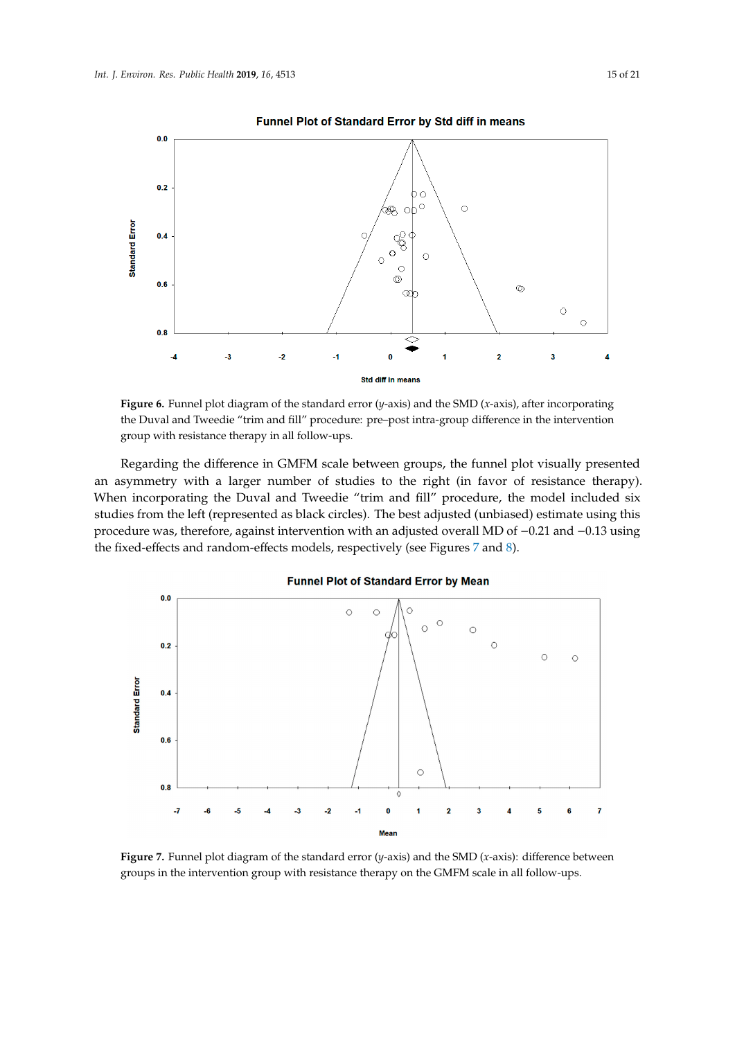<span id="page-14-0"></span>

Funnel Plot of Standard Error by Std diff in means

the Duval and Tweedie "trim and fill" procedure: pre-post intra-group difference in the intervention  $\frac{1}{2}$  and  $\frac{1}{2}$  procedures: procedure: procedure: procedure: procedure: procedure: procedure: procedure: procedure: procedure: procedure: procedure: procedure: procedure: procedure: procedure: procedure: procedure group with resistance therapy in all follow-ups. group with resistance therapy in all follow-ups. **Figure 6.** Funnel plot diagram of the standard error (*y*-axis) and the SMD (*x*-axis), after incorporating

an asymmetry with a larger number of studies to the right (in favor of resistance therapy). When incorporating the Duval and Tweedie "trim and fill" procedure, the model included six studies from the left (represented as black circles). The best adjusted (unbiased) estimate using this procedure was, therefore, against intervention with an adjusted overall MD of -0.21 and -0.13 using the fixed-effects and random-effects models, respectively (see Figures [7](#page-14-1) and [8\)](#page-15-0). Regarding the difference in GMFM scale between groups, the funnel plot visually presented

<span id="page-14-1"></span>and random-effects models, respectively (see Figures 7 and 8).



**Figure 7.** Funnel plot diagram of the standard error (y-axis) and the SMD (x-axis): difference between groups in the intervention group with resistance therapy on the GMFM scale in all follow-ups. groups in the intervention group with resistance therapy on the GMFM scale in all follow-ups.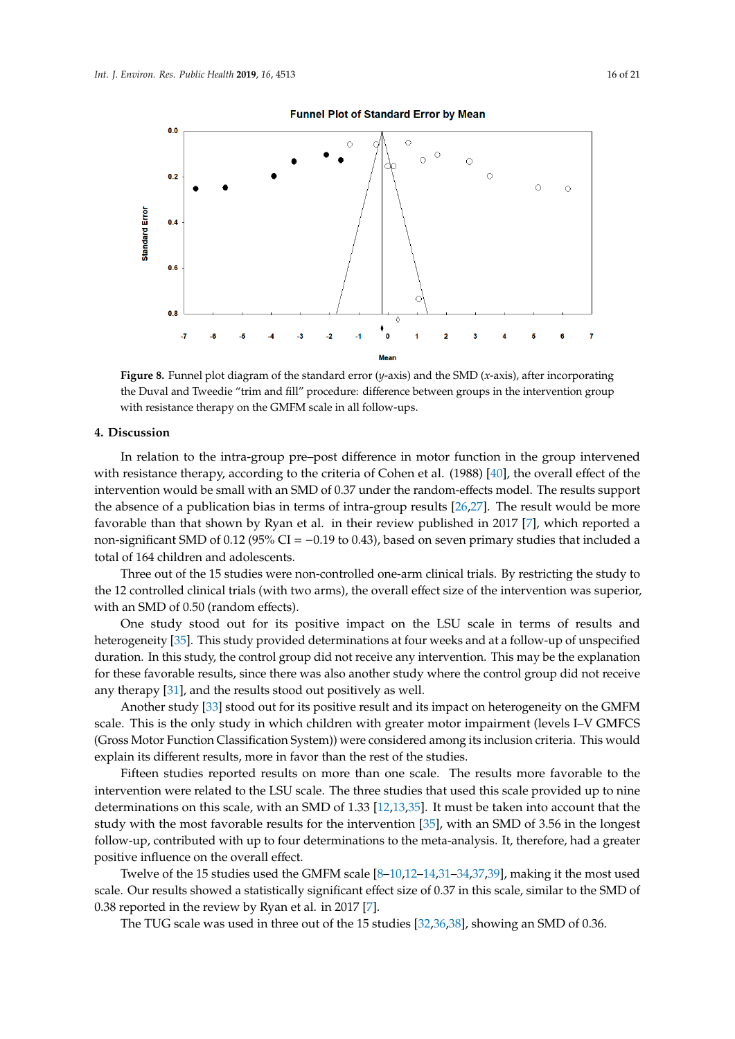<span id="page-15-0"></span>

**Figure 8.** Funnel plot diagram of the standard error (y-axis) and the SMD (x-axis), after incorporating the Duval and Tweedie "trim and fill" procedure: difference between groups in the intervention the Duval and Tweedie "trim and fill" procedure: difference between groups in the intervention group with resistance therapy on the GMFM scale in all follow-ups.

#### **4. Discussion**

with resistance therapy, according to the criteria of Cohen et al. (1988) [\[40\]](#page-19-27), the overall effect of the intervention would be small with an SMD of 0.37 under the random-effects model. The results support the absence of a publication bias in terms of intra-group results [\[26](#page-19-6)[,27\]](#page-19-7). The result would be more favorable than that shown by Ryan et al. in their review published in 2017 [\[7\]](#page-18-6), which reported a non-significant SMD of 0.12 (95% CI = −0.19 to 0.43), based on seven primary studies that included a  $\overrightarrow{O}$  total of 164 children and adolescents. In relation to the intra-group pre–post difference in motor function in the group intervened

Three out of the 15 studies were non-controlled one-arm clinical trials. By restricting the study to the 12 controlled clinical trials (with two arms), the overall effect size of the intervention was superior, with an SMD of 0.50 (random effects).

One study stood out for its positive impact on the LSU scale in terms of results and heterogeneity [\[35\]](#page-19-17). This study provided determinations at four weeks and at a follow-up of unspecified duration. In this study, the control group did not receive any intervention. This may be the explanation for these favorable results, since there was also another study where the control group did not receive any therapy [\[31\]](#page-19-11), and the results stood out positively as well.

Another study [\[33\]](#page-19-18) stood out for its positive result and its impact on heterogeneity on the GMFM scale. This is the only study in which children with greater motor impairment (levels I–V GMFCS (Gross Motor Function Classification System)) were considered among its inclusion criteria. This would explain its different results, more in favor than the rest of the studies.

Fifteen studies reported results on more than one scale. The results more favorable to the intervention were related to the LSU scale. The three studies that used this scale provided up to nine determinations on this scale, with an SMD of 1.33 [\[12](#page-18-14)[,13](#page-18-22)[,35\]](#page-19-17). It must be taken into account that the study with the most favorable results for the intervention [\[35\]](#page-19-17), with an SMD of 3.56 in the longest follow-up, contributed with up to four determinations to the meta-analysis. It, therefore, had a greater positive influence on the overall effect.

Twelve of the 15 studies used the GMFM scale [\[8–](#page-18-7)[10,](#page-18-13)[12–](#page-18-14)[14](#page-18-8)[,31](#page-19-11)[–34,](#page-19-16)[37,](#page-19-13)[39\]](#page-19-14), making it the most used scale. Our results showed a statistically significant effect size of 0.37 in this scale, similar to the SMD of 0.38 reported in the review by Ryan et al. in 2017 [\[7\]](#page-18-6).

The TUG scale was used in three out of the 15 studies [\[32,](#page-19-15)[36,](#page-19-12)[38\]](#page-19-19), showing an SMD of 0.36.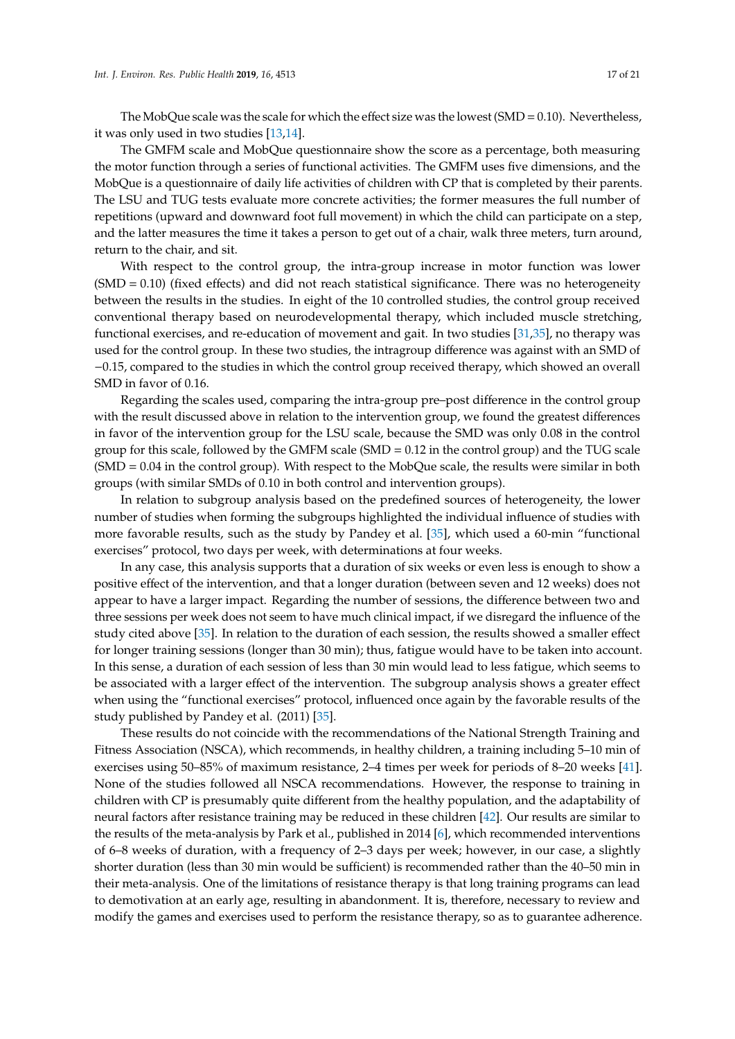The MobQue scale was the scale for which the effect size was the lowest (SMD =  $0.10$ ). Nevertheless, it was only used in two studies [\[13](#page-18-22)[,14\]](#page-18-8).

The GMFM scale and MobQue questionnaire show the score as a percentage, both measuring the motor function through a series of functional activities. The GMFM uses five dimensions, and the MobQue is a questionnaire of daily life activities of children with CP that is completed by their parents. The LSU and TUG tests evaluate more concrete activities; the former measures the full number of repetitions (upward and downward foot full movement) in which the child can participate on a step, and the latter measures the time it takes a person to get out of a chair, walk three meters, turn around, return to the chair, and sit.

With respect to the control group, the intra-group increase in motor function was lower (SMD = 0.10) (fixed effects) and did not reach statistical significance. There was no heterogeneity between the results in the studies. In eight of the 10 controlled studies, the control group received conventional therapy based on neurodevelopmental therapy, which included muscle stretching, functional exercises, and re-education of movement and gait. In two studies [\[31](#page-19-11)[,35\]](#page-19-17), no therapy was used for the control group. In these two studies, the intragroup difference was against with an SMD of −0.15, compared to the studies in which the control group received therapy, which showed an overall SMD in favor of 0.16.

Regarding the scales used, comparing the intra-group pre–post difference in the control group with the result discussed above in relation to the intervention group, we found the greatest differences in favor of the intervention group for the LSU scale, because the SMD was only 0.08 in the control group for this scale, followed by the GMFM scale (SMD = 0.12 in the control group) and the TUG scale (SMD = 0.04 in the control group). With respect to the MobQue scale, the results were similar in both groups (with similar SMDs of 0.10 in both control and intervention groups).

In relation to subgroup analysis based on the predefined sources of heterogeneity, the lower number of studies when forming the subgroups highlighted the individual influence of studies with more favorable results, such as the study by Pandey et al. [\[35\]](#page-19-17), which used a 60-min "functional exercises" protocol, two days per week, with determinations at four weeks.

In any case, this analysis supports that a duration of six weeks or even less is enough to show a positive effect of the intervention, and that a longer duration (between seven and 12 weeks) does not appear to have a larger impact. Regarding the number of sessions, the difference between two and three sessions per week does not seem to have much clinical impact, if we disregard the influence of the study cited above [\[35\]](#page-19-17). In relation to the duration of each session, the results showed a smaller effect for longer training sessions (longer than 30 min); thus, fatigue would have to be taken into account. In this sense, a duration of each session of less than 30 min would lead to less fatigue, which seems to be associated with a larger effect of the intervention. The subgroup analysis shows a greater effect when using the "functional exercises" protocol, influenced once again by the favorable results of the study published by Pandey et al. (2011) [\[35\]](#page-19-17).

These results do not coincide with the recommendations of the National Strength Training and Fitness Association (NSCA), which recommends, in healthy children, a training including 5–10 min of exercises using 50–85% of maximum resistance, 2–4 times per week for periods of 8–20 weeks [\[41\]](#page-19-28). None of the studies followed all NSCA recommendations. However, the response to training in children with CP is presumably quite different from the healthy population, and the adaptability of neural factors after resistance training may be reduced in these children [\[42\]](#page-19-29). Our results are similar to the results of the meta-analysis by Park et al., published in 2014 [\[6\]](#page-18-5), which recommended interventions of 6–8 weeks of duration, with a frequency of 2–3 days per week; however, in our case, a slightly shorter duration (less than 30 min would be sufficient) is recommended rather than the 40–50 min in their meta-analysis. One of the limitations of resistance therapy is that long training programs can lead to demotivation at an early age, resulting in abandonment. It is, therefore, necessary to review and modify the games and exercises used to perform the resistance therapy, so as to guarantee adherence.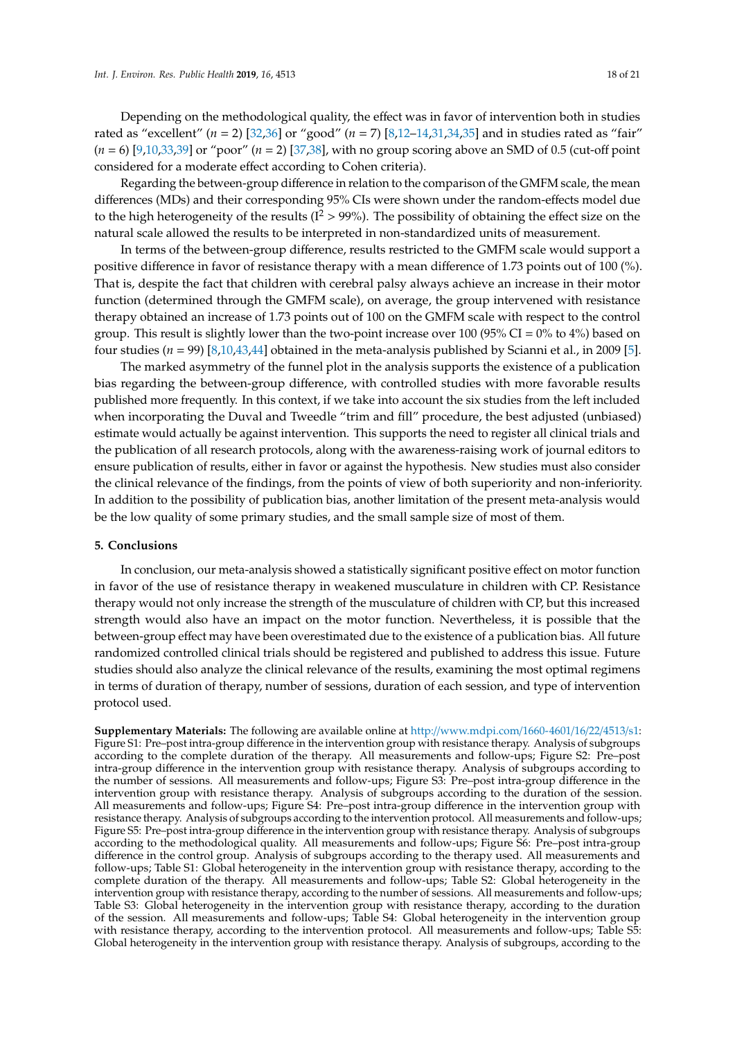Depending on the methodological quality, the effect was in favor of intervention both in studies rated as "excellent" (*n* = 2) [\[32,](#page-19-15)[36\]](#page-19-12) or "good" (*n* = 7) [\[8,](#page-18-7)[12](#page-18-14)[–14](#page-18-8)[,31](#page-19-11)[,34](#page-19-16)[,35\]](#page-19-17) and in studies rated as "fair" (*n* = 6) [\[9,](#page-18-15)[10,](#page-18-13)[33,](#page-19-18)[39\]](#page-19-14) or "poor" (*n* = 2) [\[37,](#page-19-13)[38\]](#page-19-19), with no group scoring above an SMD of 0.5 (cut-off point considered for a moderate effect according to Cohen criteria).

Regarding the between-group difference in relation to the comparison of the GMFM scale, the mean differences (MDs) and their corresponding 95% CIs were shown under the random-effects model due to the high heterogeneity of the results  $(I^2 > 99\%)$ . The possibility of obtaining the effect size on the natural scale allowed the results to be interpreted in non-standardized units of measurement.

In terms of the between-group difference, results restricted to the GMFM scale would support a positive difference in favor of resistance therapy with a mean difference of 1.73 points out of 100 (%). That is, despite the fact that children with cerebral palsy always achieve an increase in their motor function (determined through the GMFM scale), on average, the group intervened with resistance therapy obtained an increase of 1.73 points out of 100 on the GMFM scale with respect to the control group. This result is slightly lower than the two-point increase over 100 (95% CI =  $0\%$  to 4%) based on four studies (*n* = 99) [\[8,](#page-18-7)[10,](#page-18-13)[43,](#page-20-0)[44\]](#page-20-1) obtained in the meta-analysis published by Scianni et al., in 2009 [\[5\]](#page-18-4).

The marked asymmetry of the funnel plot in the analysis supports the existence of a publication bias regarding the between-group difference, with controlled studies with more favorable results published more frequently. In this context, if we take into account the six studies from the left included when incorporating the Duval and Tweedle "trim and fill" procedure, the best adjusted (unbiased) estimate would actually be against intervention. This supports the need to register all clinical trials and the publication of all research protocols, along with the awareness-raising work of journal editors to ensure publication of results, either in favor or against the hypothesis. New studies must also consider the clinical relevance of the findings, from the points of view of both superiority and non-inferiority. In addition to the possibility of publication bias, another limitation of the present meta-analysis would be the low quality of some primary studies, and the small sample size of most of them.

### **5. Conclusions**

In conclusion, our meta-analysis showed a statistically significant positive effect on motor function in favor of the use of resistance therapy in weakened musculature in children with CP. Resistance therapy would not only increase the strength of the musculature of children with CP, but this increased strength would also have an impact on the motor function. Nevertheless, it is possible that the between-group effect may have been overestimated due to the existence of a publication bias. All future randomized controlled clinical trials should be registered and published to address this issue. Future studies should also analyze the clinical relevance of the results, examining the most optimal regimens in terms of duration of therapy, number of sessions, duration of each session, and type of intervention protocol used.

**Supplementary Materials:** The following are available online at http://[www.mdpi.com](http://www.mdpi.com/1660-4601/16/22/4513/s1)/1660-4601/16/22/4513/s1: Figure S1: Pre–post intra-group difference in the intervention group with resistance therapy. Analysis of subgroups according to the complete duration of the therapy. All measurements and follow-ups; Figure S2: Pre–post intra-group difference in the intervention group with resistance therapy. Analysis of subgroups according to the number of sessions. All measurements and follow-ups; Figure S3: Pre–post intra-group difference in the intervention group with resistance therapy. Analysis of subgroups according to the duration of the session. All measurements and follow-ups; Figure S4: Pre–post intra-group difference in the intervention group with resistance therapy. Analysis of subgroups according to the intervention protocol. All measurements and follow-ups; Figure S5: Pre–post intra-group difference in the intervention group with resistance therapy. Analysis of subgroups according to the methodological quality. All measurements and follow-ups; Figure S6: Pre–post intra-group difference in the control group. Analysis of subgroups according to the therapy used. All measurements and follow-ups; Table S1: Global heterogeneity in the intervention group with resistance therapy, according to the complete duration of the therapy. All measurements and follow-ups; Table S2: Global heterogeneity in the intervention group with resistance therapy, according to the number of sessions. All measurements and follow-ups; Table S3: Global heterogeneity in the intervention group with resistance therapy, according to the duration of the session. All measurements and follow-ups; Table S4: Global heterogeneity in the intervention group with resistance therapy, according to the intervention protocol. All measurements and follow-ups; Table S5: Global heterogeneity in the intervention group with resistance therapy. Analysis of subgroups, according to the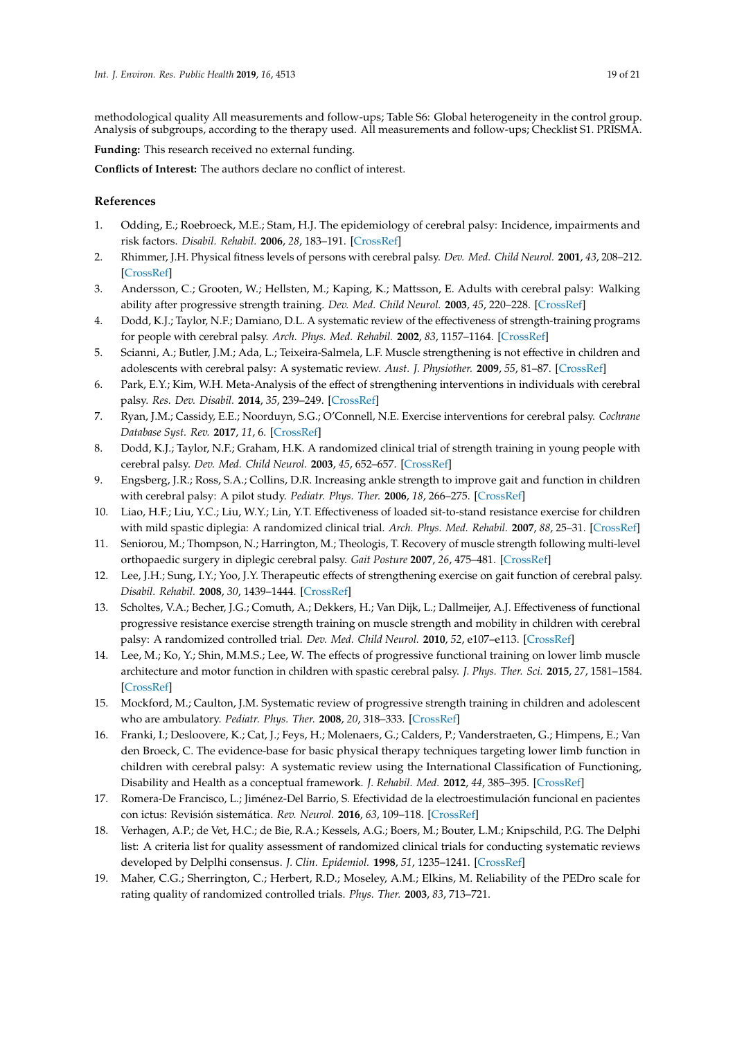methodological quality All measurements and follow-ups; Table S6: Global heterogeneity in the control group. Analysis of subgroups, according to the therapy used. All measurements and follow-ups; Checklist S1. PRISMA.

<span id="page-18-16"></span>**Funding:** This research received no external funding.

<span id="page-18-17"></span>**Conflicts of Interest:** The authors declare no conflict of interest.

# <span id="page-18-20"></span>**References**

- <span id="page-18-0"></span>1. Odding, E.; Roebroeck, M.E.; Stam, H.J. The epidemiology of cerebral palsy: Incidence, impairments and risk factors. *Disabil. Rehabil.* **2006**, *28*, 183–191. [\[CrossRef\]](http://dx.doi.org/10.1080/09638280500158422)
- <span id="page-18-18"></span><span id="page-18-1"></span>2. Rhimmer, J.H. Physical fitness levels of persons with cerebral palsy. *Dev. Med. Child Neurol.* **2001**, *43*, 208–212. [\[CrossRef\]](http://dx.doi.org/10.1111/j.1469-8749.2001.tb00189.x)
- <span id="page-18-21"></span><span id="page-18-2"></span>3. Andersson, C.; Grooten, W.; Hellsten, M.; Kaping, K.; Mattsson, E. Adults with cerebral palsy: Walking ability after progressive strength training. *Dev. Med. Child Neurol.* **2003**, *45*, 220–228. [\[CrossRef\]](http://dx.doi.org/10.1111/j.1469-8749.2003.tb00335.x)
- <span id="page-18-3"></span>4. Dodd, K.J.; Taylor, N.F.; Damiano, D.L. A systematic review of the effectiveness of strength-training programs for people with cerebral palsy. *Arch. Phys. Med. Rehabil.* **2002**, *83*, 1157–1164. [\[CrossRef\]](http://dx.doi.org/10.1053/apmr.2002.34286)
- <span id="page-18-19"></span><span id="page-18-4"></span>5. Scianni, A.; Butler, J.M.; Ada, L.; Teixeira-Salmela, L.F. Muscle strengthening is not effective in children and adolescents with cerebral palsy: A systematic review. *Aust. J. Physiother.* **2009**, *55*, 81–87. [\[CrossRef\]](http://dx.doi.org/10.1016/S0004-9514(09)70037-6)
- <span id="page-18-5"></span>6. Park, E.Y.; Kim, W.H. Meta-Analysis of the effect of strengthening interventions in individuals with cerebral palsy. *Res. Dev. Disabil.* **2014**, *35*, 239–249. [\[CrossRef\]](http://dx.doi.org/10.1016/j.ridd.2013.10.021)
- <span id="page-18-6"></span>7. Ryan, J.M.; Cassidy, E.E.; Noorduyn, S.G.; O'Connell, N.E. Exercise interventions for cerebral palsy. *Cochrane Database Syst. Rev.* **2017**, *11*, 6. [\[CrossRef\]](http://dx.doi.org/10.1002/14651858.CD011660.pub2)
- <span id="page-18-7"></span>8. Dodd, K.J.; Taylor, N.F.; Graham, H.K. A randomized clinical trial of strength training in young people with cerebral palsy. *Dev. Med. Child Neurol.* **2003**, *45*, 652–657. [\[CrossRef\]](http://dx.doi.org/10.1111/j.1469-8749.2003.tb00866.x)
- <span id="page-18-15"></span>9. Engsberg, J.R.; Ross, S.A.; Collins, D.R. Increasing ankle strength to improve gait and function in children with cerebral palsy: A pilot study. *Pediatr. Phys. Ther.* **2006**, *18*, 266–275. [\[CrossRef\]](http://dx.doi.org/10.1097/01.pep.0000233023.33383.2b)
- <span id="page-18-13"></span>10. Liao, H.F.; Liu, Y.C.; Liu, W.Y.; Lin, Y.T. Effectiveness of loaded sit-to-stand resistance exercise for children with mild spastic diplegia: A randomized clinical trial. *Arch. Phys. Med. Rehabil.* **2007**, *88*, 25–31. [\[CrossRef\]](http://dx.doi.org/10.1016/j.apmr.2006.10.006)
- 11. Seniorou, M.; Thompson, N.; Harrington, M.; Theologis, T. Recovery of muscle strength following multi-level orthopaedic surgery in diplegic cerebral palsy. *Gait Posture* **2007**, *26*, 475–481. [\[CrossRef\]](http://dx.doi.org/10.1016/j.gaitpost.2007.07.008)
- <span id="page-18-14"></span>12. Lee, J.H.; Sung, I.Y.; Yoo, J.Y. Therapeutic effects of strengthening exercise on gait function of cerebral palsy. *Disabil. Rehabil.* **2008**, *30*, 1439–1444. [\[CrossRef\]](http://dx.doi.org/10.1080/09638280701618943)
- <span id="page-18-22"></span>13. Scholtes, V.A.; Becher, J.G.; Comuth, A.; Dekkers, H.; Van Dijk, L.; Dallmeijer, A.J. Effectiveness of functional progressive resistance exercise strength training on muscle strength and mobility in children with cerebral palsy: A randomized controlled trial. *Dev. Med. Child Neurol.* **2010**, *52*, e107–e113. [\[CrossRef\]](http://dx.doi.org/10.1111/j.1469-8749.2009.03604.x)
- <span id="page-18-8"></span>14. Lee, M.; Ko, Y.; Shin, M.M.S.; Lee, W. The effects of progressive functional training on lower limb muscle architecture and motor function in children with spastic cerebral palsy. *J. Phys. Ther. Sci.* **2015**, *27*, 1581–1584. [\[CrossRef\]](http://dx.doi.org/10.1589/jpts.27.1581)
- <span id="page-18-9"></span>15. Mockford, M.; Caulton, J.M. Systematic review of progressive strength training in children and adolescent who are ambulatory. *Pediatr. Phys. Ther.* **2008**, *20*, 318–333. [\[CrossRef\]](http://dx.doi.org/10.1097/PEP.0b013e31818b7ccd)
- <span id="page-18-10"></span>16. Franki, I.; Desloovere, K.; Cat, J.; Feys, H.; Molenaers, G.; Calders, P.; Vanderstraeten, G.; Himpens, E.; Van den Broeck, C. The evidence-base for basic physical therapy techniques targeting lower limb function in children with cerebral palsy: A systematic review using the International Classification of Functioning, Disability and Health as a conceptual framework. *J. Rehabil. Med.* **2012**, *44*, 385–395. [\[CrossRef\]](http://dx.doi.org/10.2340/16501977-0983)
- <span id="page-18-11"></span>17. Romera-De Francisco, L.; Jiménez-Del Barrio, S. Efectividad de la electroestimulación funcional en pacientes con ictus: Revisión sistemática. *Rev. Neurol.* **2016**, *63*, 109–118. [\[CrossRef\]](http://dx.doi.org/10.33588/rn.6303.2015471)
- <span id="page-18-12"></span>18. Verhagen, A.P.; de Vet, H.C.; de Bie, R.A.; Kessels, A.G.; Boers, M.; Bouter, L.M.; Knipschild, P.G. The Delphi list: A criteria list for quality assessment of randomized clinical trials for conducting systematic reviews developed by Delplhi consensus. *J. Clin. Epidemiol.* **1998**, *51*, 1235–1241. [\[CrossRef\]](http://dx.doi.org/10.1016/S0895-4356(98)00131-0)
- 19. Maher, C.G.; Sherrington, C.; Herbert, R.D.; Moseley, A.M.; Elkins, M. Reliability of the PEDro scale for rating quality of randomized controlled trials. *Phys. Ther.* **2003**, *83*, 713–721.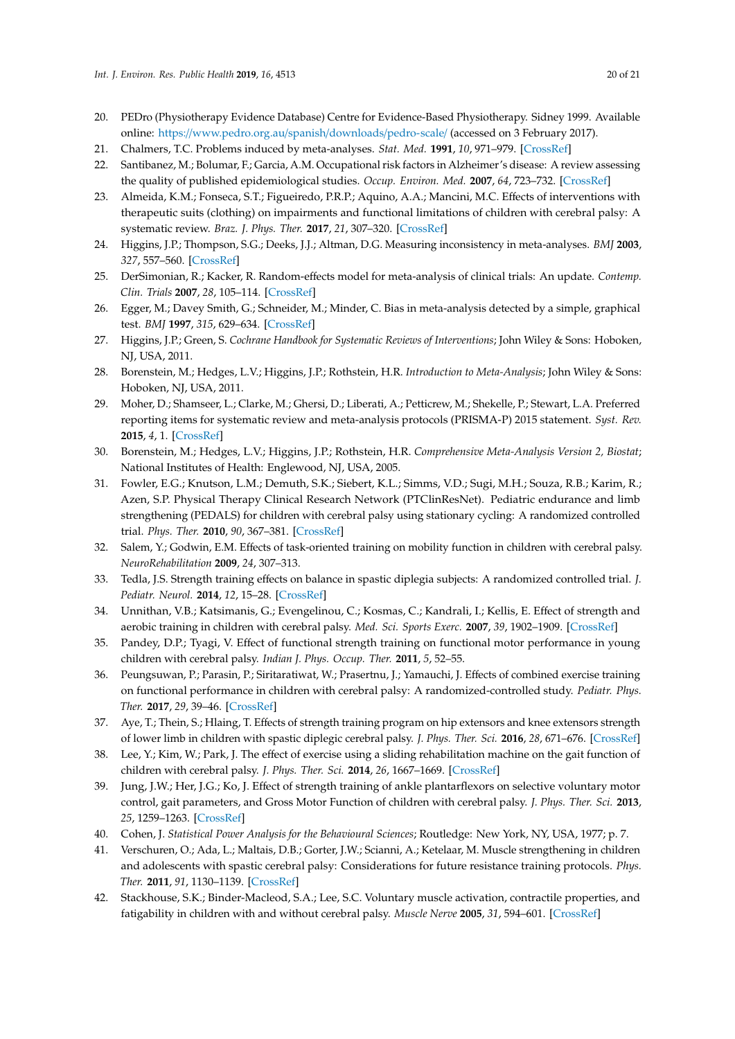- <span id="page-19-0"></span>20. PEDro (Physiotherapy Evidence Database) Centre for Evidence-Based Physiotherapy. Sidney 1999. Available online: https://[www.pedro.org.au](https://www.pedro.org.au/spanish/downloads/pedro-scale/)/spanish/downloads/pedro-scale/ (accessed on 3 February 2017).
- <span id="page-19-1"></span>21. Chalmers, T.C. Problems induced by meta-analyses. *Stat. Med.* **1991**, *10*, 971–979. [\[CrossRef\]](http://dx.doi.org/10.1002/sim.4780100618)
- <span id="page-19-21"></span><span id="page-19-2"></span>22. Santibanez, M.; Bolumar, F.; Garcia, A.M. Occupational risk factors in Alzheimer's disease: A review assessing the quality of published epidemiological studies. *Occup. Environ. Med.* **2007**, *64*, 723–732. [\[CrossRef\]](http://dx.doi.org/10.1136/oem.2006.028209)
- <span id="page-19-3"></span>23. Almeida, K.M.; Fonseca, S.T.; Figueiredo, P.R.P.; Aquino, A.A.; Mancini, M.C. Effects of interventions with therapeutic suits (clothing) on impairments and functional limitations of children with cerebral palsy: A systematic review. *Braz. J. Phys. Ther.* **2017**, *21*, 307–320. [\[CrossRef\]](http://dx.doi.org/10.1016/j.bjpt.2017.06.009)
- <span id="page-19-4"></span>24. Higgins, J.P.; Thompson, S.G.; Deeks, J.J.; Altman, D.G. Measuring inconsistency in meta-analyses. *BMJ* **2003**, *327*, 557–560. [\[CrossRef\]](http://dx.doi.org/10.1136/bmj.327.7414.557)
- <span id="page-19-25"></span><span id="page-19-5"></span>25. DerSimonian, R.; Kacker, R. Random-effects model for meta-analysis of clinical trials: An update. *Contemp. Clin. Trials* **2007**, *28*, 105–114. [\[CrossRef\]](http://dx.doi.org/10.1016/j.cct.2006.04.004)
- <span id="page-19-26"></span><span id="page-19-6"></span>26. Egger, M.; Davey Smith, G.; Schneider, M.; Minder, C. Bias in meta-analysis detected by a simple, graphical test. *BMJ* **1997**, *315*, 629–634. [\[CrossRef\]](http://dx.doi.org/10.1136/bmj.315.7109.629)
- <span id="page-19-23"></span><span id="page-19-7"></span>27. Higgins, J.P.; Green, S. *Cochrane Handbook for Systematic Reviews of Interventions*; John Wiley & Sons: Hoboken, NJ, USA, 2011.
- <span id="page-19-24"></span><span id="page-19-8"></span>28. Borenstein, M.; Hedges, L.V.; Higgins, J.P.; Rothstein, H.R. *Introduction to Meta-Analysis*; John Wiley & Sons: Hoboken, NJ, USA, 2011.
- <span id="page-19-20"></span><span id="page-19-9"></span>29. Moher, D.; Shamseer, L.; Clarke, M.; Ghersi, D.; Liberati, A.; Petticrew, M.; Shekelle, P.; Stewart, L.A. Preferred reporting items for systematic review and meta-analysis protocols (PRISMA-P) 2015 statement. *Syst. Rev.* **2015**, *4*, 1. [\[CrossRef\]](http://dx.doi.org/10.1186/2046-4053-4-1)
- <span id="page-19-10"></span>30. Borenstein, M.; Hedges, L.V.; Higgins, J.P.; Rothstein, H.R. *Comprehensive Meta-Analysis Version 2, Biostat*; National Institutes of Health: Englewood, NJ, USA, 2005.
- <span id="page-19-22"></span><span id="page-19-11"></span>31. Fowler, E.G.; Knutson, L.M.; Demuth, S.K.; Siebert, K.L.; Simms, V.D.; Sugi, M.H.; Souza, R.B.; Karim, R.; Azen, S.P. Physical Therapy Clinical Research Network (PTClinResNet). Pediatric endurance and limb strengthening (PEDALS) for children with cerebral palsy using stationary cycling: A randomized controlled trial. *Phys. Ther.* **2010**, *90*, 367–381. [\[CrossRef\]](http://dx.doi.org/10.2522/ptj.20080364)
- <span id="page-19-15"></span>32. Salem, Y.; Godwin, E.M. Effects of task-oriented training on mobility function in children with cerebral palsy. *NeuroRehabilitation* **2009**, *24*, 307–313.
- <span id="page-19-18"></span>33. Tedla, J.S. Strength training effects on balance in spastic diplegia subjects: A randomized controlled trial. *J. Pediatr. Neurol.* **2014**, *12*, 15–28. [\[CrossRef\]](http://dx.doi.org/10.3233/JPN-140634)
- <span id="page-19-16"></span>34. Unnithan, V.B.; Katsimanis, G.; Evengelinou, C.; Kosmas, C.; Kandrali, I.; Kellis, E. Effect of strength and aerobic training in children with cerebral palsy. *Med. Sci. Sports Exerc.* **2007**, *39*, 1902–1909. [\[CrossRef\]](http://dx.doi.org/10.1249/mss.0b013e3181453694)
- <span id="page-19-17"></span>35. Pandey, D.P.; Tyagi, V. Effect of functional strength training on functional motor performance in young children with cerebral palsy. *Indian J. Phys. Occup. Ther.* **2011**, *5*, 52–55.
- <span id="page-19-12"></span>36. Peungsuwan, P.; Parasin, P.; Siritaratiwat, W.; Prasertnu, J.; Yamauchi, J. Effects of combined exercise training on functional performance in children with cerebral palsy: A randomized-controlled study. *Pediatr. Phys. Ther.* **2017**, *29*, 39–46. [\[CrossRef\]](http://dx.doi.org/10.1097/PEP.0000000000000338)
- <span id="page-19-13"></span>37. Aye, T.; Thein, S.; Hlaing, T. Effects of strength training program on hip extensors and knee extensors strength of lower limb in children with spastic diplegic cerebral palsy. *J. Phys. Ther. Sci.* **2016**, *28*, 671–676. [\[CrossRef\]](http://dx.doi.org/10.1589/jpts.28.671)
- <span id="page-19-19"></span>38. Lee, Y.; Kim, W.; Park, J. The effect of exercise using a sliding rehabilitation machine on the gait function of children with cerebral palsy. *J. Phys. Ther. Sci.* **2014**, *26*, 1667–1669. [\[CrossRef\]](http://dx.doi.org/10.1589/jpts.26.1667)
- <span id="page-19-14"></span>39. Jung, J.W.; Her, J.G.; Ko, J. Effect of strength training of ankle plantarflexors on selective voluntary motor control, gait parameters, and Gross Motor Function of children with cerebral palsy. *J. Phys. Ther. Sci.* **2013**, *25*, 1259–1263. [\[CrossRef\]](http://dx.doi.org/10.1589/jpts.25.1259)
- <span id="page-19-27"></span>40. Cohen, J. *Statistical Power Analysis for the Behavioural Sciences*; Routledge: New York, NY, USA, 1977; p. 7.
- <span id="page-19-28"></span>41. Verschuren, O.; Ada, L.; Maltais, D.B.; Gorter, J.W.; Scianni, A.; Ketelaar, M. Muscle strengthening in children and adolescents with spastic cerebral palsy: Considerations for future resistance training protocols. *Phys. Ther.* **2011**, *91*, 1130–1139. [\[CrossRef\]](http://dx.doi.org/10.2522/ptj.20100356)
- <span id="page-19-29"></span>42. Stackhouse, S.K.; Binder-Macleod, S.A.; Lee, S.C. Voluntary muscle activation, contractile properties, and fatigability in children with and without cerebral palsy. *Muscle Nerve* **2005**, *31*, 594–601. [\[CrossRef\]](http://dx.doi.org/10.1002/mus.20302)